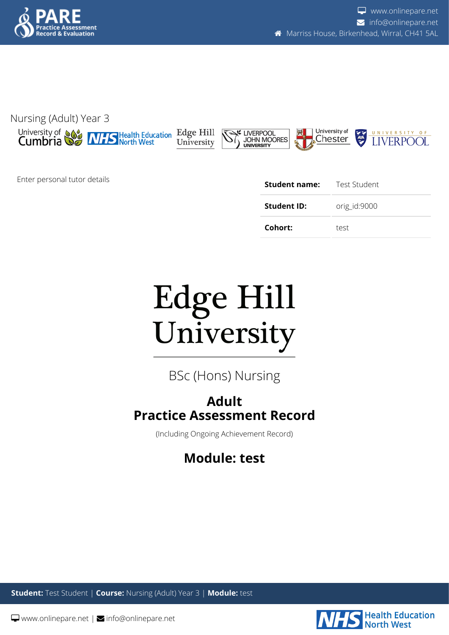



Enter personal tutor details

| Student name: | Test Student |
|---------------|--------------|
| Student ID:   | orig_id:9000 |
| Cohort:       | test         |



BSc (Hons) Nursing

## **Adult Practice Assessment Record**

(Including Ongoing Achievement Record)

## **Module: test**

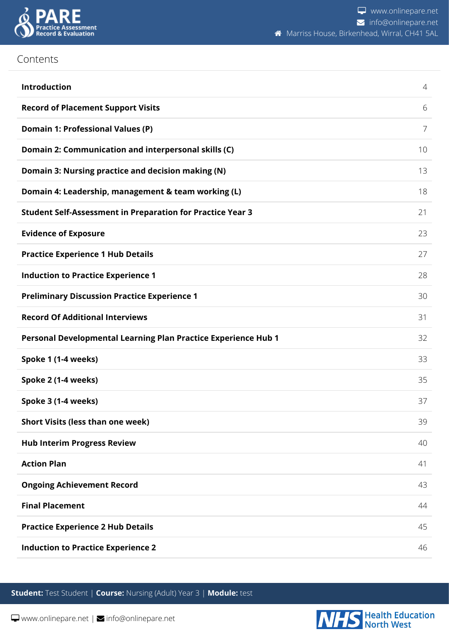

## Contents

| Introduction                                                      | 4  |
|-------------------------------------------------------------------|----|
| <b>Record of Placement Support Visits</b>                         | 6  |
| <b>Domain 1: Professional Values (P)</b>                          | 7  |
| Domain 2: Communication and interpersonal skills (C)              | 10 |
| Domain 3: Nursing practice and decision making (N)                | 13 |
| Domain 4: Leadership, management & team working (L)               | 18 |
| <b>Student Self-Assessment in Preparation for Practice Year 3</b> | 21 |
| <b>Evidence of Exposure</b>                                       | 23 |
| <b>Practice Experience 1 Hub Details</b>                          | 27 |
| <b>Induction to Practice Experience 1</b>                         | 28 |
| <b>Preliminary Discussion Practice Experience 1</b>               | 30 |
| <b>Record Of Additional Interviews</b>                            | 31 |
| Personal Developmental Learning Plan Practice Experience Hub 1    | 32 |
| Spoke 1 (1-4 weeks)                                               | 33 |
| Spoke 2 (1-4 weeks)                                               | 35 |
| Spoke 3 (1-4 weeks)                                               | 37 |
| <b>Short Visits (less than one week)</b>                          | 39 |
| <b>Hub Interim Progress Review</b>                                | 40 |
| <b>Action Plan</b>                                                | 41 |
| <b>Ongoing Achievement Record</b>                                 | 43 |
| <b>Final Placement</b>                                            | 44 |
| <b>Practice Experience 2 Hub Details</b>                          | 45 |
| <b>Induction to Practice Experience 2</b>                         | 46 |

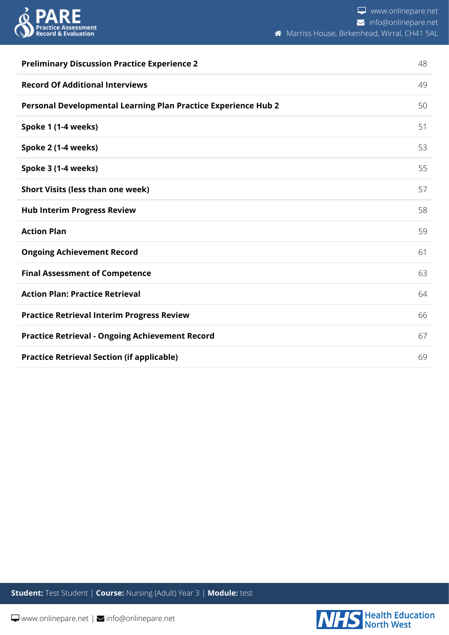

| <b>Preliminary Discussion Practice Experience 2</b>            | 48 |
|----------------------------------------------------------------|----|
| <b>Record Of Additional Interviews</b>                         | 49 |
| Personal Developmental Learning Plan Practice Experience Hub 2 | 50 |
| Spoke 1 (1-4 weeks)                                            | 51 |
| Spoke 2 (1-4 weeks)                                            | 53 |
| Spoke 3 (1-4 weeks)                                            | 55 |
| <b>Short Visits (less than one week)</b>                       | 57 |
| <b>Hub Interim Progress Review</b>                             | 58 |
| <b>Action Plan</b>                                             | 59 |
| <b>Ongoing Achievement Record</b>                              | 61 |
| <b>Final Assessment of Competence</b>                          | 63 |
| <b>Action Plan: Practice Retrieval</b>                         | 64 |
| <b>Practice Retrieval Interim Progress Review</b>              | 66 |
| <b>Practice Retrieval - Ongoing Achievement Record</b>         | 67 |
| <b>Practice Retrieval Section (if applicable)</b>              | 69 |

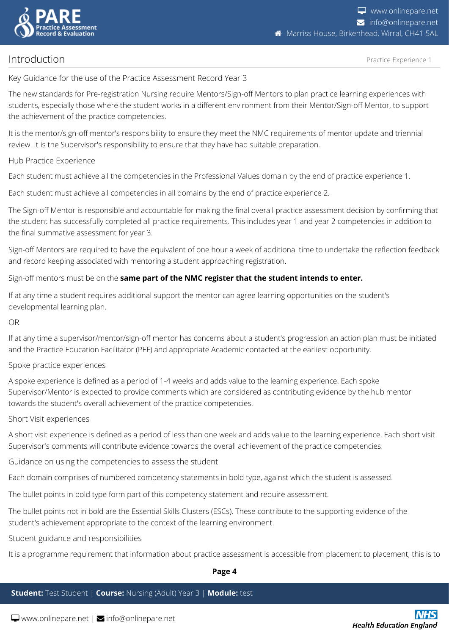

<span id="page-3-0"></span>Introduction

#### Practice Experience 1

Key Guidance for the use of the Practice Assessment Record Year 3

The new standards for Pre-registration Nursing require Mentors/Sign-off Mentors to plan practice learning experiences with students, especially those where the student works in a different environment from their Mentor/Sign-off Mentor, to support the achievement of the practice competencies.

It is the mentor/sign-off mentor's responsibility to ensure they meet the NMC requirements of mentor update and triennial review. It is the Supervisor's responsibility to ensure that they have had suitable preparation.

#### Hub Practice Experience

Each student must achieve all the competencies in the Professional Values domain by the end of practice experience 1.

Each student must achieve all competencies in all domains by the end of practice experience 2.

The Sign-off Mentor is responsible and accountable for making the final overall practice assessment decision by confirming that the student has successfully completed all practice requirements. This includes year 1 and year 2 competencies in addition to the final summative assessment for year 3.

Sign-off Mentors are required to have the equivalent of one hour a week of additional time to undertake the reflection feedback and record keeping associated with mentoring a student approaching registration.

Sign-off mentors must be on the **same part of the NMC register that the student intends to enter.**

If at any time a student requires additional support the mentor can agree learning opportunities on the student's developmental learning plan.

#### OR

If at any time a supervisor/mentor/sign-off mentor has concerns about a student's progression an action plan must be initiated and the Practice Education Facilitator (PEF) and appropriate Academic contacted at the earliest opportunity.

#### Spoke practice experiences

A spoke experience is defined as a period of 1-4 weeks and adds value to the learning experience. Each spoke Supervisor/Mentor is expected to provide comments which are considered as contributing evidence by the hub mentor towards the student's overall achievement of the practice competencies.

#### Short Visit experiences

A short visit experience is defined as a period of less than one week and adds value to the learning experience. Each short visit Supervisor's comments will contribute evidence towards the overall achievement of the practice competencies.

Guidance on using the competencies to assess the student

Each domain comprises of numbered competency statements in bold type, against which the student is assessed.

The bullet points in bold type form part of this competency statement and require assessment.

The bullet points not in bold are the Essential Skills Clusters (ESCs). These contribute to the supporting evidence of the student's achievement appropriate to the context of the learning environment.

#### Student guidance and responsibilities

It is a programme requirement that information about practice assessment is accessible from placement to placement; this is to

#### **Page 4**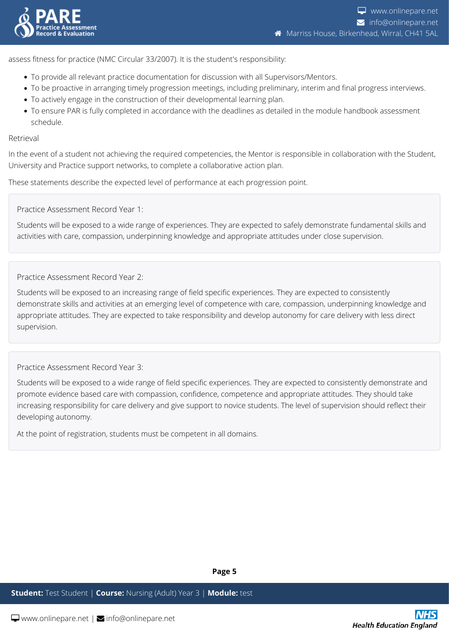

assess fitness for practice (NMC Circular 33/2007). It is the student's responsibility:

- To provide all relevant practice documentation for discussion with all Supervisors/Mentors.
- To be proactive in arranging timely progression meetings, including preliminary, interim and final progress interviews.
- To actively engage in the construction of their developmental learning plan.
- To ensure PAR is fully completed in accordance with the deadlines as detailed in the module handbook assessment schedule.

#### Retrieval

In the event of a student not achieving the required competencies, the Mentor is responsible in collaboration with the Student, University and Practice support networks, to complete a collaborative action plan.

These statements describe the expected level of performance at each progression point.

Practice Assessment Record Year 1:

Students will be exposed to a wide range of experiences. They are expected to safely demonstrate fundamental skills and activities with care, compassion, underpinning knowledge and appropriate attitudes under close supervision.

Practice Assessment Record Year 2:

Students will be exposed to an increasing range of field specific experiences. They are expected to consistently demonstrate skills and activities at an emerging level of competence with care, compassion, underpinning knowledge and appropriate attitudes. They are expected to take responsibility and develop autonomy for care delivery with less direct supervision.

Practice Assessment Record Year 3:

Students will be exposed to a wide range of field specific experiences. They are expected to consistently demonstrate and promote evidence based care with compassion, confidence, competence and appropriate attitudes. They should take increasing responsibility for care delivery and give support to novice students. The level of supervision should reflect their developing autonomy.

At the point of registration, students must be competent in all domains.

**Page 5**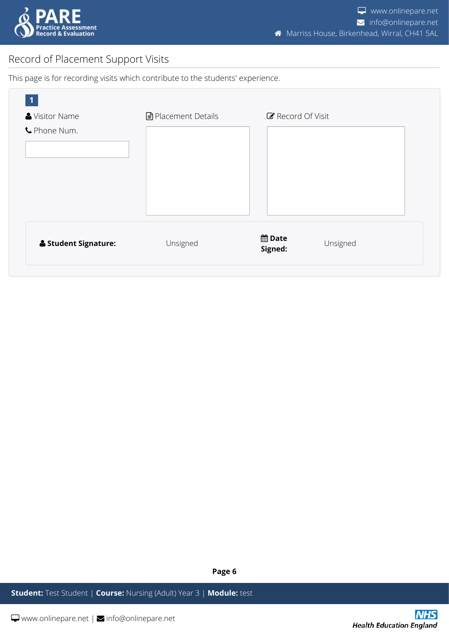

## <span id="page-5-0"></span>Record of Placement Support Visits

This page is for recording visits which contribute to the students' experience.

| Visitor Name                    | <b>■</b> Placement Details | Record Of Visit                      |
|---------------------------------|----------------------------|--------------------------------------|
| C Phone Num.                    |                            |                                      |
|                                 |                            |                                      |
|                                 |                            |                                      |
|                                 |                            |                                      |
| <b>&amp; Student Signature:</b> | Unsigned                   | <b>曲 Date</b><br>Unsigned<br>Signed: |

**Page 6**

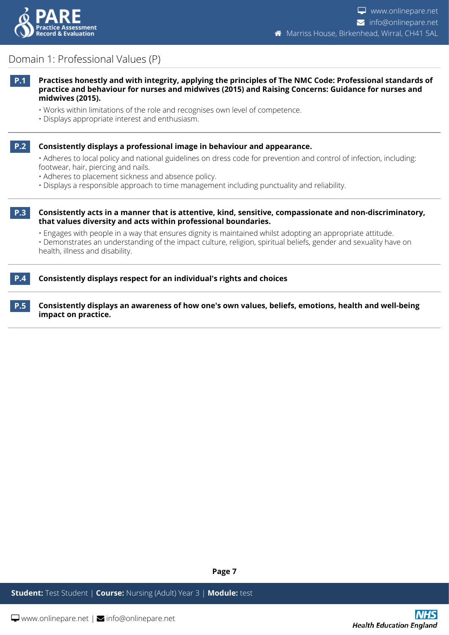

## <span id="page-6-0"></span>Domain 1: Professional Values (P)

- **P.1 Practises honestly and with integrity, applying the principles of The NMC Code: Professional standards of practice and behaviour for nurses and midwives (2015) and Raising Concerns: Guidance for nurses and midwives (2015).**
	- Works within limitations of the role and recognises own level of competence.
	- Displays appropriate interest and enthusiasm.
- 

#### **P.2 Consistently displays a professional image in behaviour and appearance.**

• Adheres to local policy and national guidelines on dress code for prevention and control of infection, including: footwear, hair, piercing and nails.

- Adheres to placement sickness and absence policy.
- Displays a responsible approach to time management including punctuality and reliability.
- 

**P.3 Consistently acts in a manner that is attentive, kind, sensitive, compassionate and non-discriminatory, that values diversity and acts within professional boundaries.**

• Engages with people in a way that ensures dignity is maintained whilst adopting an appropriate attitude.

• Demonstrates an understanding of the impact culture, religion, spiritual beliefs, gender and sexuality have on health, illness and disability.

#### **P.4 Consistently displays respect for an individual's rights and choices**

**P.5 Consistently displays an awareness of how one's own values, beliefs, emotions, health and well-being impact on practice.**

**Page 7**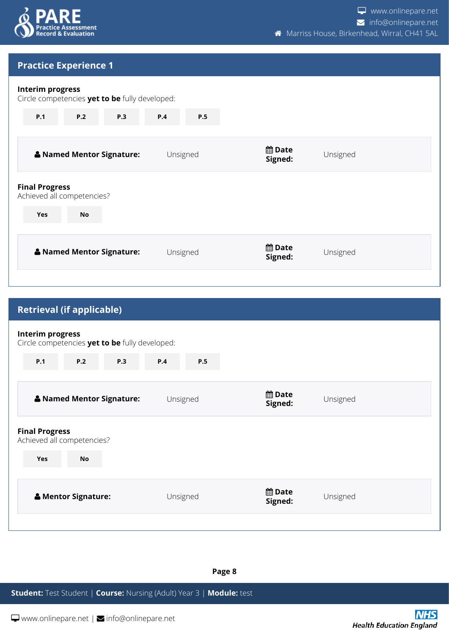

## **Practice Experience 1**

#### **Interim progress**

Circle competencies **yet to be** fully developed:

| P.1<br>P.2<br><b>P.3</b>                            | P.4<br>P.5 |                                      |  |
|-----------------------------------------------------|------------|--------------------------------------|--|
| & Named Mentor Signature:                           | Unsigned   | <b>饂Date</b><br>Unsigned<br>Signed:  |  |
| <b>Final Progress</b><br>Achieved all competencies? |            |                                      |  |
| <b>No</b><br>Yes                                    |            |                                      |  |
| & Named Mentor Signature:                           | Unsigned   | <b>曲 Date</b><br>Unsigned<br>Signed: |  |

| <b>Retrieval (if applicable)</b>                                          |            |                          |          |
|---------------------------------------------------------------------------|------------|--------------------------|----------|
| <b>Interim progress</b><br>Circle competencies yet to be fully developed: |            |                          |          |
| <b>P.1</b><br><b>P.2</b><br><b>P.3</b>                                    | P.4<br>P.5 |                          |          |
| & Named Mentor Signature:                                                 | Unsigned   | <b>曲</b> Date<br>Signed: | Unsigned |
| <b>Final Progress</b><br>Achieved all competencies?                       |            |                          |          |
| <b>Yes</b><br><b>No</b>                                                   |            |                          |          |
| & Mentor Signature:                                                       | Unsigned   | <b>曲</b> Date<br>Signed: | Unsigned |
|                                                                           |            |                          |          |

#### **Page 8**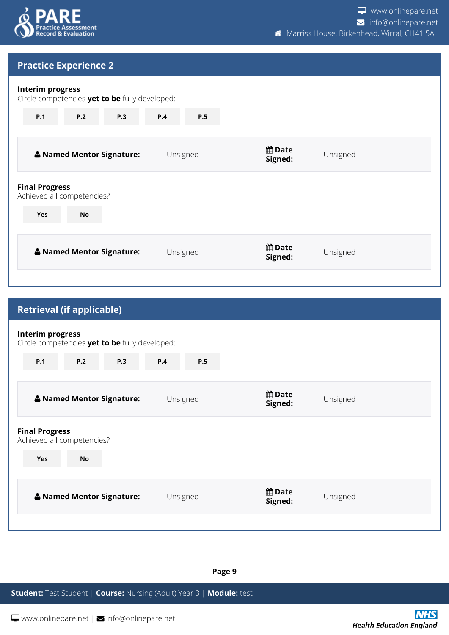

## **Practice Experience 2**

#### **Interim progress**

Circle competencies **yet to be** fully developed:

| P.1<br><b>P.2</b><br><b>P.3</b>                     | P.4<br>P.5 |                         |          |
|-----------------------------------------------------|------------|-------------------------|----------|
| & Named Mentor Signature:                           | Unsigned   | <b>饂Date</b><br>Signed: | Unsigned |
| <b>Final Progress</b><br>Achieved all competencies? |            |                         |          |
| <b>No</b><br><b>Yes</b>                             |            |                         |          |
| & Named Mentor Signature:                           | Unsigned   | <b>饂Date</b><br>Signed: | Unsigned |

| <b>Retrieval (if applicable)</b>                                          |                   |                          |          |
|---------------------------------------------------------------------------|-------------------|--------------------------|----------|
| <b>Interim progress</b><br>Circle competencies yet to be fully developed: |                   |                          |          |
| P.2<br>P.1<br>P.3                                                         | <b>P.4</b><br>P.5 |                          |          |
| & Named Mentor Signature:                                                 | Unsigned          | <b>曲 Date</b><br>Signed: | Unsigned |
| <b>Final Progress</b><br>Achieved all competencies?                       |                   |                          |          |
| <b>No</b><br><b>Yes</b>                                                   |                   |                          |          |
| & Named Mentor Signature:                                                 | Unsigned          | <b>曲</b> Date<br>Signed: | Unsigned |
|                                                                           |                   |                          |          |

#### **Page 9**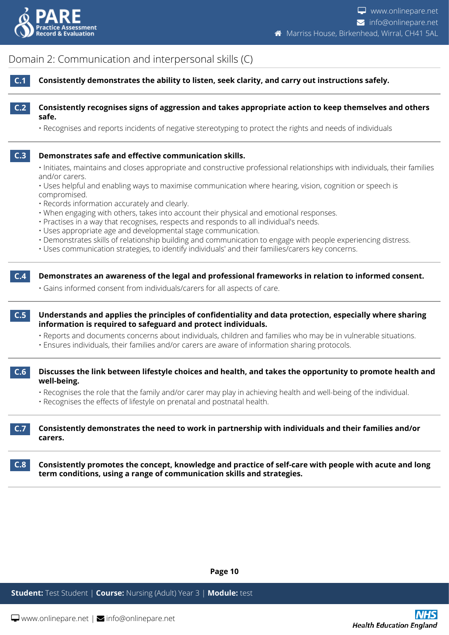

<span id="page-9-0"></span>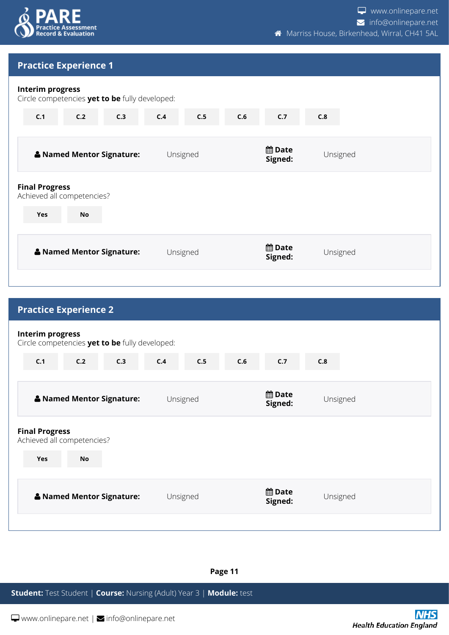

## **Practice Experience 1**

## **Interim progress** Circle competencies **yet to be** fully developed: **C.1 C.2 C.3 C.4 C.5 C.6 C.7 C.8 E.9 E.10 Named Mentor Signature:** Unsigned **Date Signed:** Unsigned

| <b>Final Progress</b><br>Achieved all competencies? |          |                          |          |
|-----------------------------------------------------|----------|--------------------------|----------|
| <b>Yes</b><br><b>No</b>                             |          |                          |          |
| & Named Mentor Signature:                           | Unsigned | <b>曲 Date</b><br>Signed: | Unsigned |

| <b>Practice Experience 2</b>                                              |           |                           |          |     |     |                            |          |  |
|---------------------------------------------------------------------------|-----------|---------------------------|----------|-----|-----|----------------------------|----------|--|
| <b>Interim progress</b><br>Circle competencies yet to be fully developed: |           |                           |          |     |     |                            |          |  |
| C.1                                                                       | C.2       | C.3                       | C.4      | C.5 | C.6 | C.7                        | C.8      |  |
|                                                                           |           | & Named Mentor Signature: | Unsigned |     |     | <b>the Date</b><br>Signed: | Unsigned |  |
| <b>Final Progress</b><br>Achieved all competencies?<br>Yes                | <b>No</b> |                           |          |     |     |                            |          |  |
|                                                                           |           |                           |          |     |     |                            |          |  |
|                                                                           |           | & Named Mentor Signature: | Unsigned |     |     | <b>曲</b> Date<br>Signed:   | Unsigned |  |
|                                                                           |           |                           |          |     |     |                            |          |  |

**Page 11**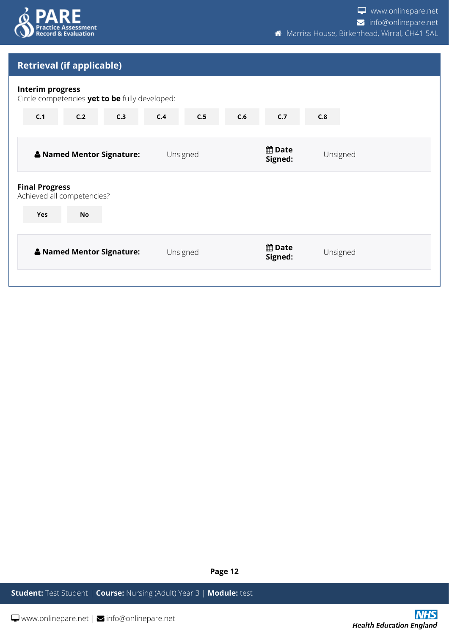

# **Retrieval (if applicable) Interim progress** Circle competencies **yet to be** fully developed: **C.1 C.2 C.3 C.4 C.5 C.6 C.7 C.8 E.9 E.10 Named Mentor Signature:** Unsigned **Date Signed:** Unsigned **Final Progress** Achieved all competencies? **Yes No No No No No No No No No Named Mentor Signature:** Unsigned **Date Signed:** Unsigned

**Page 12**

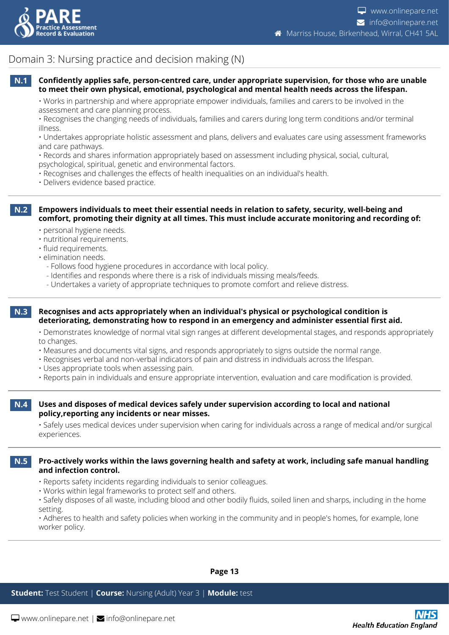

## <span id="page-12-0"></span>Domain 3: Nursing practice and decision making (N)

#### **N.1 Confidently applies safe, person-centred care, under appropriate supervision, for those who are unable to meet their own physical, emotional, psychological and mental health needs across the lifespan.**

• Works in partnership and where appropriate empower individuals, families and carers to be involved in the assessment and care planning process.

• Recognises the changing needs of individuals, families and carers during long term conditions and/or terminal illness.

• Undertakes appropriate holistic assessment and plans, delivers and evaluates care using assessment frameworks and care pathways.

• Records and shares information appropriately based on assessment including physical, social, cultural, psychological, spiritual, genetic and environmental factors.

- Recognises and challenges the effects of health inequalities on an individual's health.
- Delivers evidence based practice.

**N.2 Empowers individuals to meet their essential needs in relation to safety, security, well-being and comfort, promoting their dignity at all times. This must include accurate monitoring and recording of:**

- personal hygiene needs.
- nutritional requirements.
- fluid requirements.
- elimination needs.
	- Follows food hygiene procedures in accordance with local policy.
	- Identifies and responds where there is a risk of individuals missing meals/feeds.
	- Undertakes a variety of appropriate techniques to promote comfort and relieve distress.

#### **N.3 Recognises and acts appropriately when an individual's physical or psychological condition is deteriorating, demonstrating how to respond in an emergency and administer essential first aid.**

• Demonstrates knowledge of normal vital sign ranges at different developmental stages, and responds appropriately to changes.

- Measures and documents vital signs, and responds appropriately to signs outside the normal range.
- Recognises verbal and non-verbal indicators of pain and distress in individuals across the lifespan.
- Uses appropriate tools when assessing pain.
- Reports pain in individuals and ensure appropriate intervention, evaluation and care modification is provided.

#### **N.4 Uses and disposes of medical devices safely under supervision according to local and national policy,reporting any incidents or near misses.**

• Safely uses medical devices under supervision when caring for individuals across a range of medical and/or surgical experiences.

**N.5 Pro-actively works within the laws governing health and safety at work, including safe manual handling and infection control.**

- Reports safety incidents regarding individuals to senior colleagues.
- Works within legal frameworks to protect self and others.

• Safely disposes of all waste, including blood and other bodily fluids, soiled linen and sharps, including in the home setting.

• Adheres to health and safety policies when working in the community and in people's homes, for example, lone worker policy.

**Page 13**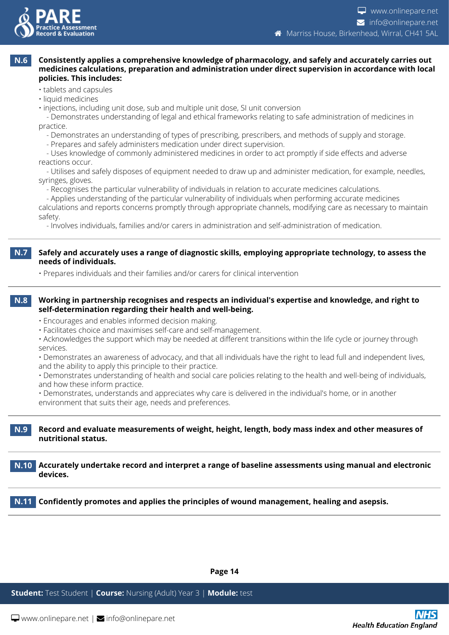

#### **N.6 Consistently applies a comprehensive knowledge of pharmacology, and safely and accurately carries out medicines calculations, preparation and administration under direct supervision in accordance with local policies. This includes:**

- tablets and capsules
- liquid medicines
- injections, including unit dose, sub and multiple unit dose, SI unit conversion

 - Demonstrates understanding of legal and ethical frameworks relating to safe administration of medicines in practice.

- Demonstrates an understanding of types of prescribing, prescribers, and methods of supply and storage.
- Prepares and safely administers medication under direct supervision.

 - Uses knowledge of commonly administered medicines in order to act promptly if side effects and adverse reactions occur.

 - Utilises and safely disposes of equipment needed to draw up and administer medication, for example, needles, syringes, gloves.

- Recognises the particular vulnerability of individuals in relation to accurate medicines calculations.

 - Applies understanding of the particular vulnerability of individuals when performing accurate medicines calculations and reports concerns promptly through appropriate channels, modifying care as necessary to maintain safety.

- Involves individuals, families and/or carers in administration and self-administration of medication.

#### **N.7 Safely and accurately uses a range of diagnostic skills, employing appropriate technology, to assess the needs of individuals.**

• Prepares individuals and their families and/or carers for clinical intervention

#### **N.8 Working in partnership recognises and respects an individual's expertise and knowledge, and right to self-determination regarding their health and well-being.**

- Encourages and enables informed decision making.
- Facilitates choice and maximises self-care and self-management.

• Acknowledges the support which may be needed at different transitions within the life cycle or journey through services.

• Demonstrates an awareness of advocacy, and that all individuals have the right to lead full and independent lives, and the ability to apply this principle to their practice.

• Demonstrates understanding of health and social care policies relating to the health and well-being of individuals, and how these inform practice.

• Demonstrates, understands and appreciates why care is delivered in the individual's home, or in another environment that suits their age, needs and preferences.

#### **N.9 Record and evaluate measurements of weight, height, length, body mass index and other measures of nutritional status.**

**N.10 Accurately undertake record and interpret a range of baseline assessments using manual and electronic devices.**

**N.11 Confidently promotes and applies the principles of wound management, healing and asepsis.**

**Page 14**

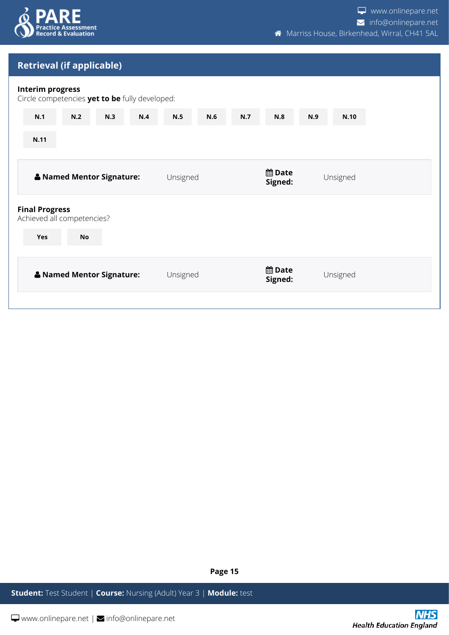

## **Retrieval (if applicable)**

#### **Interim progress**

| <b>THEFTILL PLASE</b><br>Circle competencies yet to be fully developed: |                           |     |     |          |     |     |                          |     |          |  |
|-------------------------------------------------------------------------|---------------------------|-----|-----|----------|-----|-----|--------------------------|-----|----------|--|
| N.1                                                                     | N.2                       | N.3 | N.4 | N.5      | N.6 | N.7 | N.8                      | N.9 | N.10     |  |
| N.11                                                                    |                           |     |     |          |     |     |                          |     |          |  |
|                                                                         | & Named Mentor Signature: |     |     | Unsigned |     |     | <b>曲Date</b><br>Signed:  |     | Unsigned |  |
| <b>Final Progress</b><br>Achieved all competencies?                     |                           |     |     |          |     |     |                          |     |          |  |
| Yes                                                                     | <b>No</b>                 |     |     |          |     |     |                          |     |          |  |
|                                                                         | & Named Mentor Signature: |     |     | Unsigned |     |     | <b>曲 Date</b><br>Signed: |     | Unsigned |  |
|                                                                         |                           |     |     |          |     |     |                          |     |          |  |

**Page 15**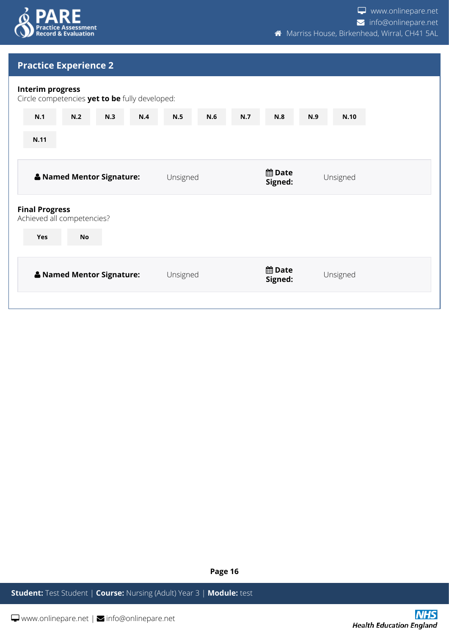

## **Practice Experience 2**

| Interim progress<br>Circle competencies yet to be fully developed: |                           |     |     |          |     |     |                            |     |          |  |
|--------------------------------------------------------------------|---------------------------|-----|-----|----------|-----|-----|----------------------------|-----|----------|--|
| N.1                                                                | N.2                       | N.3 | N.4 | N.5      | N.6 | N.7 | N.8                        | N.9 | N.10     |  |
| N.11                                                               |                           |     |     |          |     |     |                            |     |          |  |
|                                                                    | & Named Mentor Signature: |     |     | Unsigned |     |     | <b>the Date</b><br>Signed: |     | Unsigned |  |
| <b>Final Progress</b><br>Achieved all competencies?                |                           |     |     |          |     |     |                            |     |          |  |
| Yes                                                                | <b>No</b>                 |     |     |          |     |     |                            |     |          |  |
|                                                                    | & Named Mentor Signature: |     |     | Unsigned |     |     | <b>曲 Date</b><br>Signed:   |     | Unsigned |  |
|                                                                    |                           |     |     |          |     |     |                            |     |          |  |

**Page 16**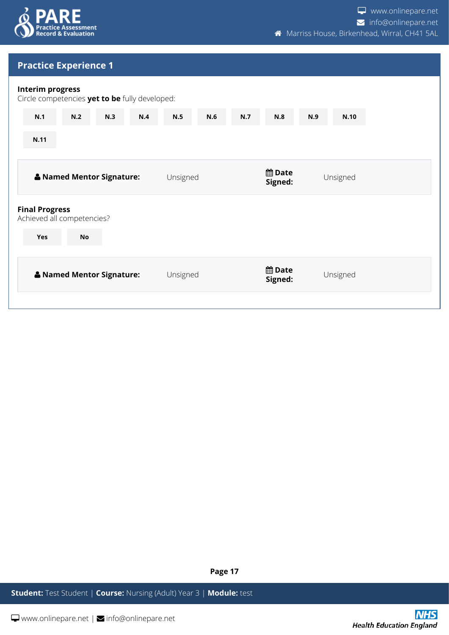

## **Practice Experience 1**

| <b>Interim progress</b><br>Circle competencies yet to be fully developed: |     |          |     |     |                          |     |          |  |
|---------------------------------------------------------------------------|-----|----------|-----|-----|--------------------------|-----|----------|--|
| N.2<br>N.3<br>N.1                                                         | N.4 | N.5      | N.6 | N.7 | N.8                      | N.9 | N.10     |  |
| N.11                                                                      |     |          |     |     |                          |     |          |  |
| & Named Mentor Signature:                                                 |     | Unsigned |     |     | <b>曲 Date</b><br>Signed: |     | Unsigned |  |
| <b>Final Progress</b><br>Achieved all competencies?                       |     |          |     |     |                          |     |          |  |
| Yes<br><b>No</b>                                                          |     |          |     |     |                          |     |          |  |
| & Named Mentor Signature:                                                 |     | Unsigned |     |     | <b>曲Date</b><br>Signed:  |     | Unsigned |  |
|                                                                           |     |          |     |     |                          |     |          |  |

**Page 17**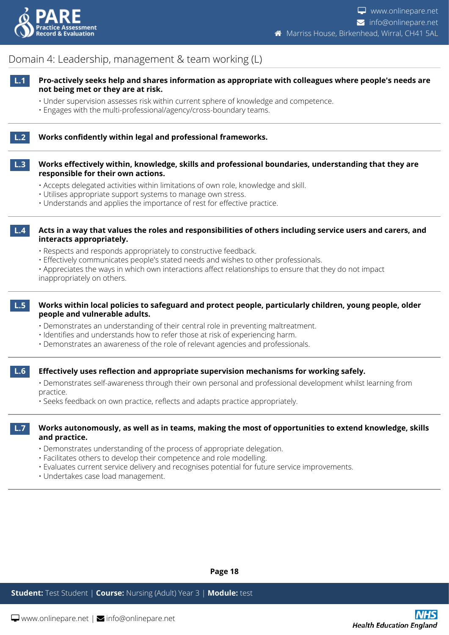

## <span id="page-17-0"></span>Domain 4: Leadership, management & team working (L)

- **L.1 Pro-actively seeks help and shares information as appropriate with colleagues where people's needs are not being met or they are at risk.**
	- Under supervision assesses risk within current sphere of knowledge and competence.
	- Engages with the multi-professional/agency/cross-boundary teams.

#### **L.2 Works confidently within legal and professional frameworks.**

#### **L.3 Works effectively within, knowledge, skills and professional boundaries, understanding that they are responsible for their own actions.**

- Accepts delegated activities within limitations of own role, knowledge and skill.
- Utilises appropriate support systems to manage own stress.
- Understands and applies the importance of rest for effective practice.

**L.4 Acts in a way that values the roles and responsibilities of others including service users and carers, and interacts appropriately.**

- Respects and responds appropriately to constructive feedback.
- Effectively communicates people's stated needs and wishes to other professionals.

• Appreciates the ways in which own interactions affect relationships to ensure that they do not impact inappropriately on others.

#### **L.5 Works within local policies to safeguard and protect people, particularly children, young people, older people and vulnerable adults.**

- Demonstrates an understanding of their central role in preventing maltreatment.
- Identifies and understands how to refer those at risk of experiencing harm.
- Demonstrates an awareness of the role of relevant agencies and professionals.

#### **L.6 Effectively uses reflection and appropriate supervision mechanisms for working safely.**

• Demonstrates self-awareness through their own personal and professional development whilst learning from practice.

• Seeks feedback on own practice, reflects and adapts practice appropriately.

#### **L.7 Works autonomously, as well as in teams, making the most of opportunities to extend knowledge, skills and practice.**

- Demonstrates understanding of the process of appropriate delegation.
- Facilitates others to develop their competence and role modelling.
- Evaluates current service delivery and recognises potential for future service improvements.
- Undertakes case load management.

**Page 18**

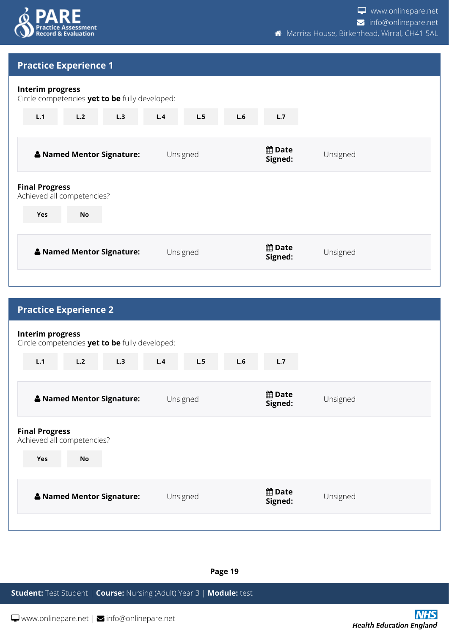

## **Practice Experience 1**

# **Interim progress** Circle competencies **yet to be** fully developed: **L.1 L.2 L.3 L.4 L.5 L.6 L.7 E.8 E.9 E.10 Named Mentor Signature:** Unsigned **Date Signed:** Unsigned **Final Progress** Achieved all competencies? **Yes No No No No No No No No No Named Mentor Signature:** Unsigned **Date Signed:** Unsigned

| <b>Practice Experience 2</b>                                                   |            |                          |          |
|--------------------------------------------------------------------------------|------------|--------------------------|----------|
| <b>Interim progress</b><br>Circle competencies yet to be fully developed:      |            |                          |          |
| L.3<br>L.1<br>L.2                                                              | L.5<br>L.4 | L.6<br>L.7               |          |
| & Named Mentor Signature:                                                      | Unsigned   | <b>曲 Date</b><br>Signed: | Unsigned |
| <b>Final Progress</b><br>Achieved all competencies?<br><b>Yes</b><br><b>No</b> |            |                          |          |
|                                                                                |            |                          |          |
| & Named Mentor Signature:                                                      | Unsigned   | <b>曲 Date</b><br>Signed: | Unsigned |
|                                                                                |            |                          |          |

**Page 19**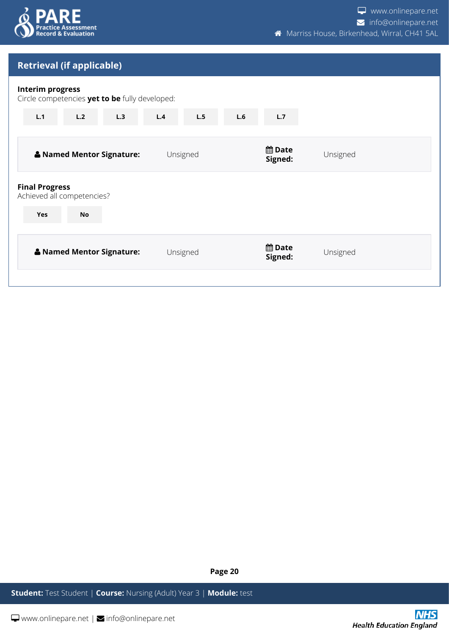

## **Retrieval (if applicable)**

| <b>Interim progress</b><br>Circle competencies yet to be fully developed: |                           |     |     |          |     |                            |          |  |
|---------------------------------------------------------------------------|---------------------------|-----|-----|----------|-----|----------------------------|----------|--|
| L.1                                                                       | L.2                       | L.3 | L.4 | L.5      | L.6 | L.7                        |          |  |
|                                                                           | & Named Mentor Signature: |     |     | Unsigned |     | <b>饂Date</b><br>Signed:    | Unsigned |  |
| <b>Final Progress</b><br>Achieved all competencies?                       |                           |     |     |          |     |                            |          |  |
| <b>Yes</b>                                                                | <b>No</b>                 |     |     |          |     |                            |          |  |
|                                                                           | & Named Mentor Signature: |     |     | Unsigned |     | <b>the Date</b><br>Signed: | Unsigned |  |
|                                                                           |                           |     |     |          |     |                            |          |  |

**Page 20**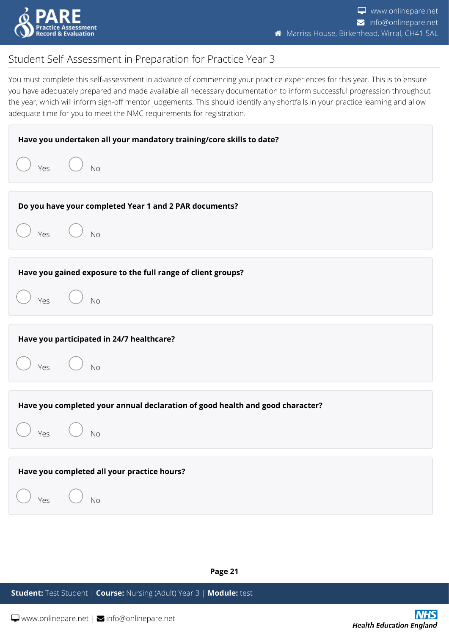

**Health Education England** 

## <span id="page-20-0"></span>Student Self-Assessment in Preparation for Practice Year 3

You must complete this self-assessment in advance of commencing your practice experiences for this year. This is to ensure you have adequately prepared and made available all necessary documentation to inform successful progression throughout the year, which will inform sign-off mentor judgements. This should identify any shortfalls in your practice learning and allow adequate time for you to meet the NMC requirements for registration.

| Have you undertaken all your mandatory training/core skills to date?          |            |  |  |  |  |
|-------------------------------------------------------------------------------|------------|--|--|--|--|
| Yes<br>N <sub>0</sub>                                                         |            |  |  |  |  |
| Do you have your completed Year 1 and 2 PAR documents?                        |            |  |  |  |  |
| $Yes$ $\bigcirc$ No                                                           |            |  |  |  |  |
| Have you gained exposure to the full range of client groups?                  |            |  |  |  |  |
| Yes $\bigcup$ No                                                              |            |  |  |  |  |
| Have you participated in 24/7 healthcare?                                     |            |  |  |  |  |
| $Yes$ $\bigcirc$ No                                                           |            |  |  |  |  |
| Have you completed your annual declaration of good health and good character? |            |  |  |  |  |
| No<br>Yes                                                                     |            |  |  |  |  |
| Have you completed all your practice hours?                                   |            |  |  |  |  |
| Yes<br>No                                                                     |            |  |  |  |  |
|                                                                               |            |  |  |  |  |
| Page 21                                                                       |            |  |  |  |  |
| Student: Test Student   Course: Nursing (Adult) Year 3   Module: test         |            |  |  |  |  |
| $\Box$ www.onlinepare.net   $\Box$ info@onlinepare.net                        | <b>NHS</b> |  |  |  |  |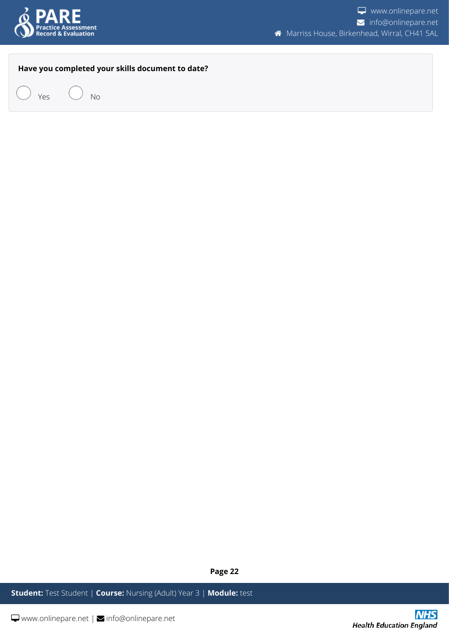

#### **Have you completed your skills document to date?**



**Page 22**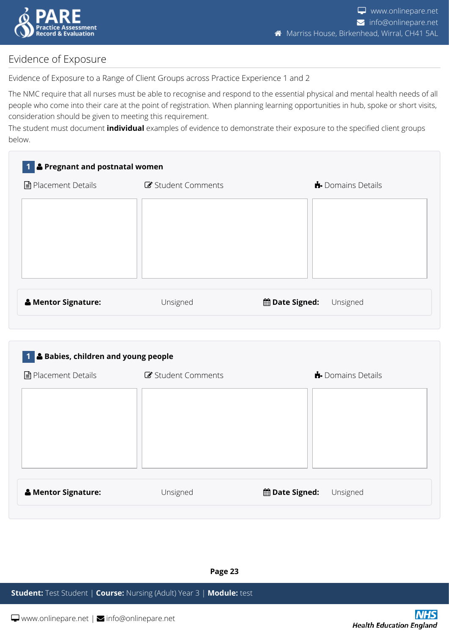

## <span id="page-22-0"></span>Evidence of Exposure

Evidence of Exposure to a Range of Client Groups across Practice Experience 1 and 2

The NMC require that all nurses must be able to recognise and respond to the essential physical and mental health needs of all people who come into their care at the point of registration. When planning learning opportunities in hub, spoke or short visits, consideration should be given to meeting this requirement.

The student must document **individual** examples of evidence to demonstrate their exposure to the specified client groups below.

| 1 & Pregnant and postnatal women |                  |                                           |  |  |  |  |
|----------------------------------|------------------|-------------------------------------------|--|--|--|--|
| <b>■</b> Placement Details       | Student Comments | <b>D</b> omains Details                   |  |  |  |  |
|                                  |                  |                                           |  |  |  |  |
|                                  |                  |                                           |  |  |  |  |
|                                  |                  |                                           |  |  |  |  |
|                                  |                  |                                           |  |  |  |  |
|                                  |                  |                                           |  |  |  |  |
| <b>A</b> Mentor Signature:       | heroph I         | <b>Minate Signed:</b><br><b>LInsigned</b> |  |  |  |  |

| <b>&amp; Mentor Signature:</b> | Unsigned | <b>的Date Signed:</b> Unsigned |  |  |
|--------------------------------|----------|-------------------------------|--|--|
|--------------------------------|----------|-------------------------------|--|--|

## **1 Babies, children and young people**

| <b>■</b> Placement Details | Student Comments | $\bigstar$ Domains Details        |
|----------------------------|------------------|-----------------------------------|
|                            |                  |                                   |
|                            |                  |                                   |
|                            |                  |                                   |
|                            |                  |                                   |
|                            |                  |                                   |
| & Mentor Signature:        | Unsigned         | <b>曲 Date Signed:</b><br>Unsigned |
|                            |                  |                                   |

**Page 23**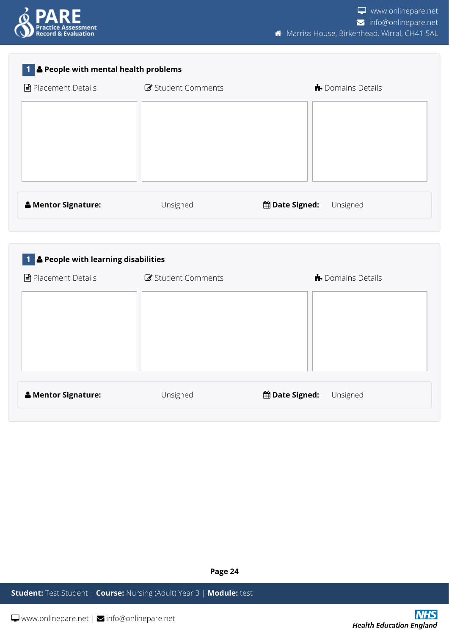

| & People with mental health problems             |                  |                              |
|--------------------------------------------------|------------------|------------------------------|
| <b>■</b> Placement Details                       | Student Comments | Domains Details              |
|                                                  |                  |                              |
|                                                  |                  |                              |
|                                                  |                  |                              |
|                                                  |                  |                              |
|                                                  |                  |                              |
|                                                  |                  |                              |
| & Mentor Signature:                              | Unsigned         | the Date Signed:<br>Unsigned |
|                                                  |                  |                              |
|                                                  |                  |                              |
|                                                  |                  |                              |
| <sup>1</sup> & People with learning disabilities |                  |                              |
| <b>■</b> Placement Details                       | Student Comments | Domains Details              |

| & Mentor Signature: | Unsigned | <b>the Date Signed:</b><br>Unsigned |
|---------------------|----------|-------------------------------------|

**Page 24**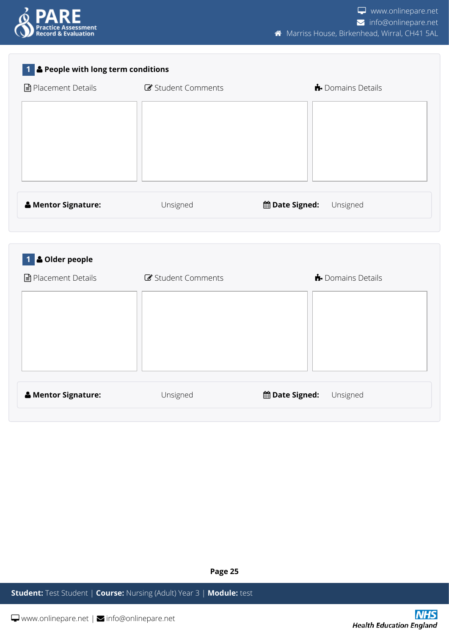

| ■ Placement Details                       | Student Comments | Domains Details                   |
|-------------------------------------------|------------------|-----------------------------------|
|                                           |                  |                                   |
|                                           |                  |                                   |
|                                           |                  |                                   |
|                                           |                  |                                   |
|                                           |                  |                                   |
| & Mentor Signature:                       | Unsigned         | <b>曲 Date Signed:</b><br>Unsigned |
|                                           |                  |                                   |
| <b>&amp; Older people</b><br>$\mathbf{1}$ |                  |                                   |
|                                           |                  |                                   |
|                                           | Student Comments | Domains Details                   |
|                                           |                  |                                   |
|                                           |                  |                                   |
|                                           |                  |                                   |
| ■ Placement Details                       |                  |                                   |
|                                           |                  |                                   |

**Page 25**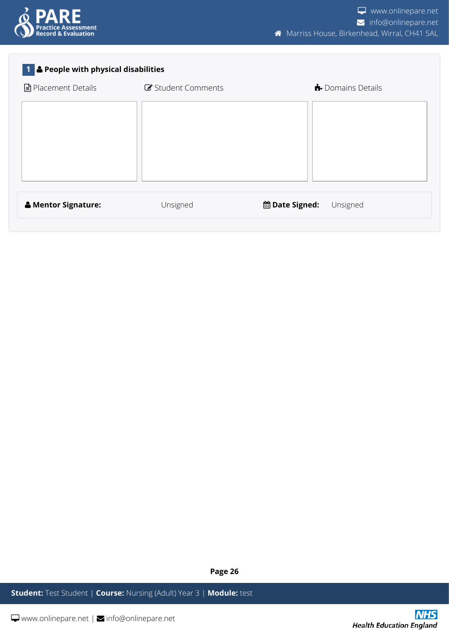

#### **1 People with physical disabilities**

| <b>■</b> Placement Details     | Student Comments | <b>D</b> omains Details           |
|--------------------------------|------------------|-----------------------------------|
|                                |                  |                                   |
|                                |                  |                                   |
|                                |                  |                                   |
|                                |                  |                                   |
|                                |                  |                                   |
|                                |                  |                                   |
| <b>&amp; Mentor Signature:</b> | Unsigned         | <b>曲 Date Signed:</b><br>Unsigned |
|                                |                  |                                   |

**Page 26**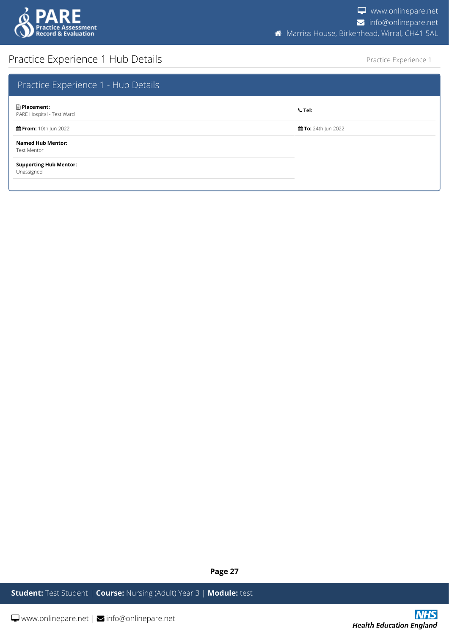

## <span id="page-26-0"></span>Practice Experience 1 Hub Details

Practice Experience 1

| Practice Experience 1 - Hub Details              |                     |
|--------------------------------------------------|---------------------|
| <b>■ Placement:</b><br>PARE Hospital - Test Ward | $C$ Tel:            |
| the From: 10th Jun 2022                          | 前 To: 24th Jun 2022 |
| <b>Named Hub Mentor:</b><br><b>Test Mentor</b>   |                     |
| <b>Supporting Hub Mentor:</b><br>Unassigned      |                     |

**Page 27**

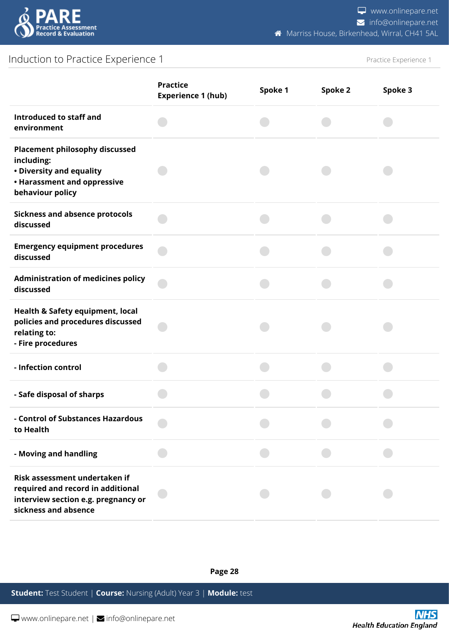

## <span id="page-27-0"></span>Induction to Practice Experience 1

Practice Experience 1

|                                                                                                                                    | <b>Practice</b><br><b>Experience 1 (hub)</b> | Spoke 1 | Spoke 2 | Spoke 3 |
|------------------------------------------------------------------------------------------------------------------------------------|----------------------------------------------|---------|---------|---------|
| Introduced to staff and<br>environment                                                                                             |                                              |         |         |         |
| <b>Placement philosophy discussed</b><br>including:<br>• Diversity and equality<br>• Harassment and oppressive<br>behaviour policy |                                              |         |         |         |
| <b>Sickness and absence protocols</b><br>discussed                                                                                 |                                              |         |         |         |
| <b>Emergency equipment procedures</b><br>discussed                                                                                 |                                              |         |         |         |
| <b>Administration of medicines policy</b><br>discussed                                                                             |                                              |         |         |         |
| Health & Safety equipment, local<br>policies and procedures discussed<br>relating to:<br>- Fire procedures                         |                                              |         |         |         |
| - Infection control                                                                                                                |                                              |         |         |         |
| - Safe disposal of sharps                                                                                                          |                                              |         |         |         |
| - Control of Substances Hazardous<br>to Health                                                                                     |                                              |         |         |         |
| - Moving and handling                                                                                                              |                                              |         |         |         |
| Risk assessment undertaken if<br>required and record in additional<br>interview section e.g. pregnancy or<br>sickness and absence  |                                              |         |         |         |

**Page 28**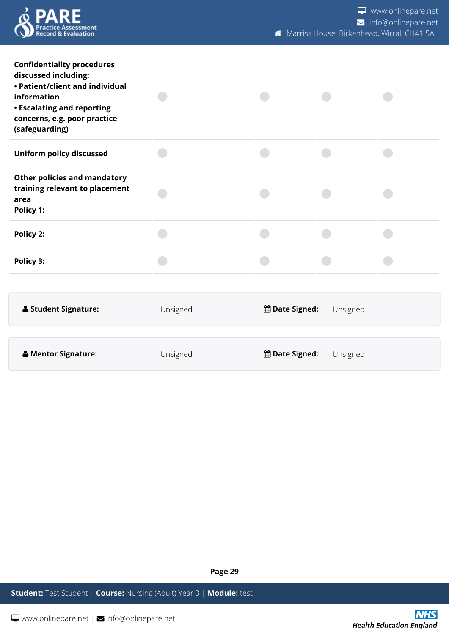

www.onlinepare.net info@onlinepare.net **Marriss House, Birkenhead, Wirral, CH41 5AL** 

| <b>Confidentiality procedures</b><br>discussed including:<br>• Patient/client and individual<br>information<br><b>• Escalating and reporting</b><br>concerns, e.g. poor practice<br>(safeguarding) |          |                       |          |  |
|----------------------------------------------------------------------------------------------------------------------------------------------------------------------------------------------------|----------|-----------------------|----------|--|
| <b>Uniform policy discussed</b>                                                                                                                                                                    |          |                       |          |  |
| <b>Other policies and mandatory</b><br>training relevant to placement<br>area<br>Policy 1:                                                                                                         |          |                       |          |  |
| Policy 2:                                                                                                                                                                                          |          |                       |          |  |
| Policy 3:                                                                                                                                                                                          |          |                       |          |  |
|                                                                                                                                                                                                    |          |                       |          |  |
| <b>Student Signature:</b>                                                                                                                                                                          | Unsigned | <b>曲 Date Signed:</b> | Unsigned |  |
|                                                                                                                                                                                                    |          |                       |          |  |
| & Mentor Signature:                                                                                                                                                                                | Unsigned | <b>曲 Date Signed:</b> | Unsigned |  |

**Page 29**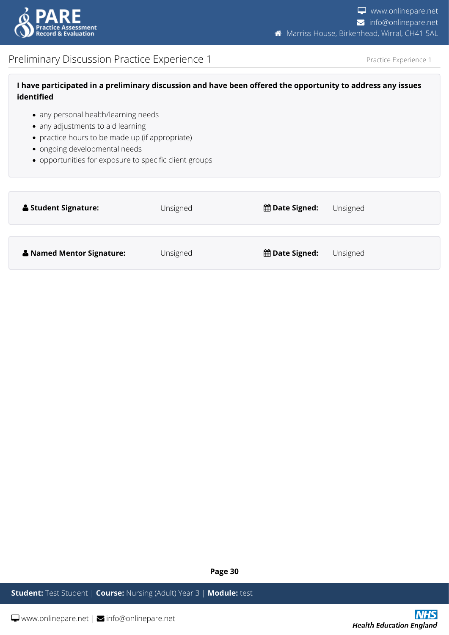

## <span id="page-29-0"></span>Preliminary Discussion Practice Experience 1

Practice Experience 1

| I have participated in a preliminary discussion and have been offered the opportunity to address any issues |  |
|-------------------------------------------------------------------------------------------------------------|--|
| identified                                                                                                  |  |

- any personal health/learning needs
- any adjustments to aid learning
- practice hours to be made up (if appropriate)
- ongoing developmental needs
- opportunities for exposure to specific client groups

| <b>&amp; Student Signature:</b> | Unsigned | <b>曲 Date Signed:</b> | Unsigned |
|---------------------------------|----------|-----------------------|----------|
| & Named Mentor Signature:       | Unsigned | <b>曲 Date Signed:</b> | Unsigned |

**Page 30**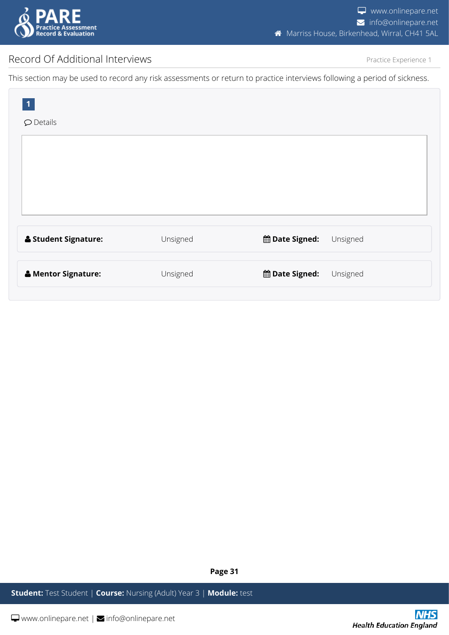

## <span id="page-30-0"></span>Record Of Additional Interviews

Practice Experience 1

This section may be used to record any risk assessments or return to practice interviews following a period of sickness.

| $\overline{\mathbf{1}}$<br>$\wp$ Details |          |                                     |
|------------------------------------------|----------|-------------------------------------|
|                                          |          |                                     |
|                                          |          |                                     |
|                                          |          |                                     |
| <b>&amp; Student Signature:</b>          | Unsigned | <b>the Date Signed:</b><br>Unsigned |
|                                          |          |                                     |
| & Mentor Signature:                      | Unsigned | <b>the Date Signed:</b><br>Unsigned |

**Page 31**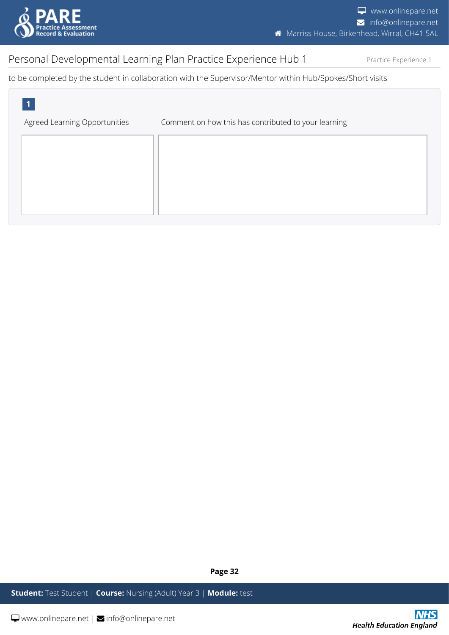

## <span id="page-31-0"></span>Personal Developmental Learning Plan Practice Experience Hub 1

Practice Experience 1

to be completed by the student in collaboration with the Supervisor/Mentor within Hub/Spokes/Short visits



**Page 32**

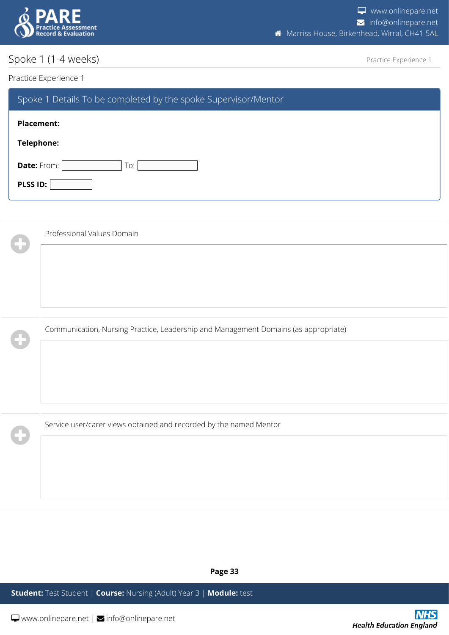

## <span id="page-32-0"></span>Spoke 1 (1-4 weeks)

Practice Experience 1

#### Practice Experience 1

 $\mathbf 0$ 

| Spoke 1 Details To be completed by the spoke Supervisor/Mentor |  |
|----------------------------------------------------------------|--|
| Placement:                                                     |  |
| Telephone:                                                     |  |
| <b>Date:</b> From:<br>To:                                      |  |
| PLSS ID:                                                       |  |

| $\cdot$ | Professional Values Domain                                                          |
|---------|-------------------------------------------------------------------------------------|
|         |                                                                                     |
|         |                                                                                     |
|         |                                                                                     |
|         |                                                                                     |
|         | Communication, Nursing Practice, Leadership and Management Domains (as appropriate) |
|         |                                                                                     |

Service user/carer views obtained and recorded by the named Mentor

**Page 33**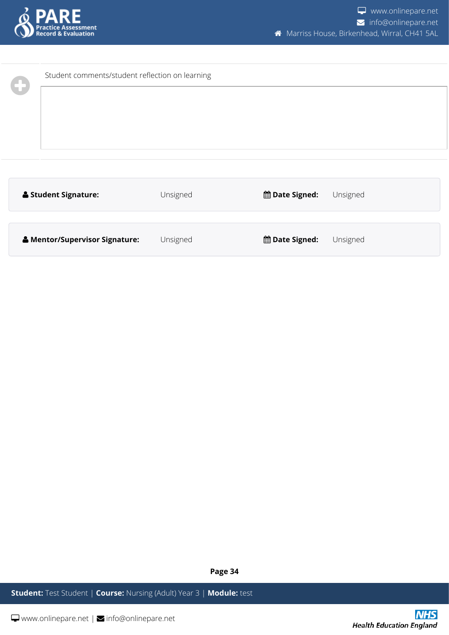

| Student comments/student reflection on learning |          |                                     |  |
|-------------------------------------------------|----------|-------------------------------------|--|
| <b>&amp; Student Signature:</b>                 | Unsigned | <b>the Date Signed:</b><br>Unsigned |  |
| & Mentor/Supervisor Signature:                  | Unsigned | <b>曲 Date Signed:</b><br>Unsigned   |  |

**Page 34**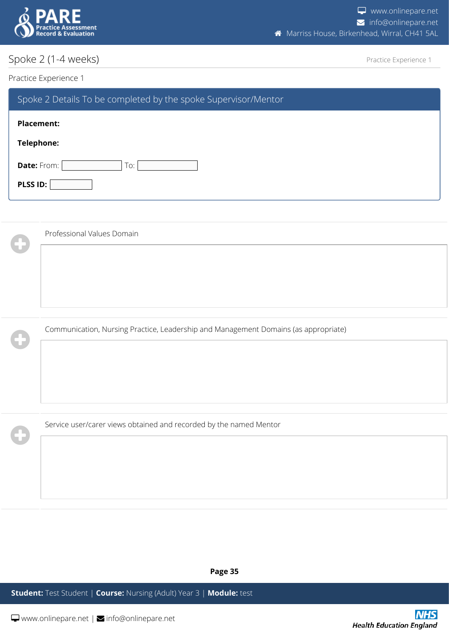

## <span id="page-34-0"></span>Spoke 2 (1-4 weeks)

Practice Experience 1

#### Practice Experience 1

 $\mathbf 0$ 

| Spoke 2 Details To be completed by the spoke Supervisor/Mentor |  |
|----------------------------------------------------------------|--|
| <b>Placement:</b>                                              |  |
| Telephone:                                                     |  |
| Date: From:<br>To:                                             |  |
| PLSS ID:                                                       |  |

| Professional Values Domain                                                          |
|-------------------------------------------------------------------------------------|
|                                                                                     |
|                                                                                     |
|                                                                                     |
|                                                                                     |
| Communication, Nursing Practice, Leadership and Management Domains (as appropriate) |

Service user/carer views obtained and recorded by the named Mentor

**Page 35**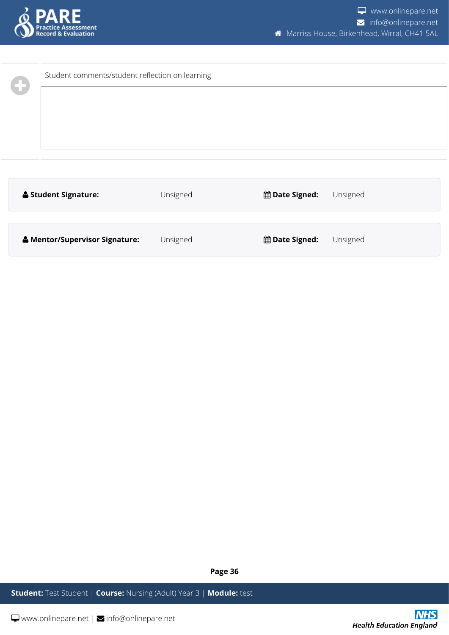

| Student comments/student reflection on learning |          |                  |          |
|-------------------------------------------------|----------|------------------|----------|
| <b>&amp; Student Signature:</b>                 | Unsigned | the Date Signed: | Unsigned |
| & Mentor/Supervisor Signature:                  | Unsigned | the Date Signed: | Unsigned |

**Page 36**

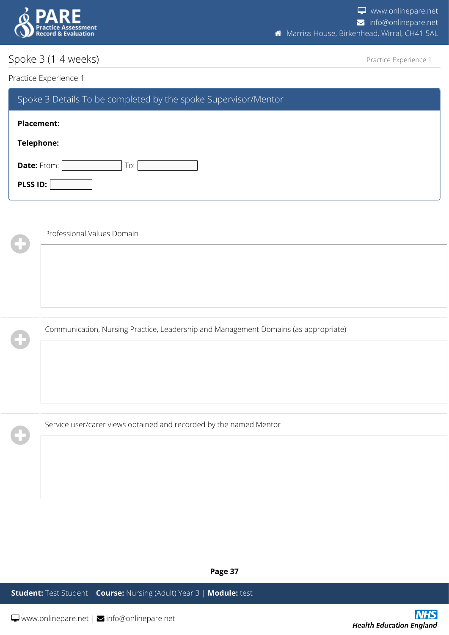

## <span id="page-36-0"></span>Spoke 3 (1-4 weeks)

Practice Experience 1

#### Practice Experience 1

 $\mathbf 0$ 

| Spoke 3 Details To be completed by the spoke Supervisor/Mentor |  |
|----------------------------------------------------------------|--|
| <b>Placement:</b>                                              |  |
| Telephone:                                                     |  |
| Date: From:<br>To:                                             |  |
| PLSS ID:                                                       |  |

| Professional Values Domain                                                          |
|-------------------------------------------------------------------------------------|
|                                                                                     |
|                                                                                     |
|                                                                                     |
| Communication, Nursing Practice, Leadership and Management Domains (as appropriate) |

Service user/carer views obtained and recorded by the named Mentor

**Page 37**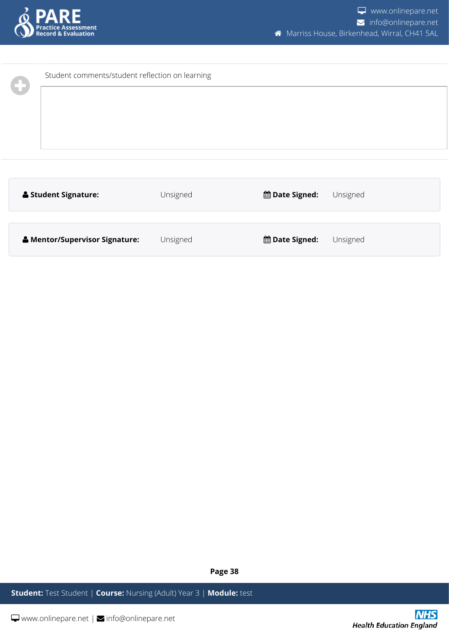

| Student comments/student reflection on learning |          |                  |          |
|-------------------------------------------------|----------|------------------|----------|
| <b>&amp; Student Signature:</b>                 | Unsigned | the Date Signed: | Unsigned |
| & Mentor/Supervisor Signature:                  | Unsigned | the Date Signed: | Unsigned |

**Page 38**

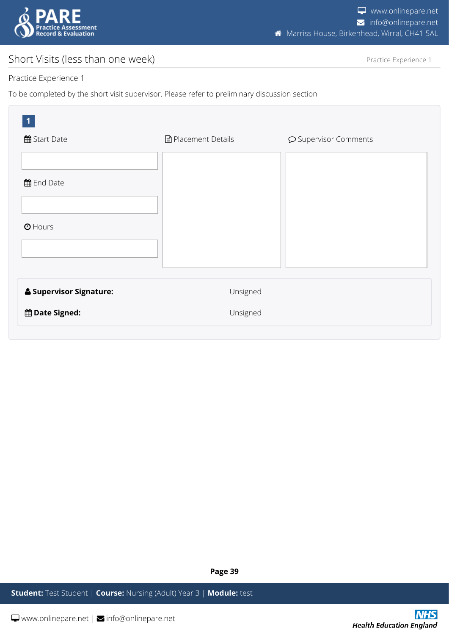

## <span id="page-38-0"></span>Short Visits (less than one week)

Practice Experience 1

#### Practice Experience 1

To be completed by the short visit supervisor. Please refer to preliminary discussion section

| $\mathbf 1$<br>曲 Start Date | ■ Placement Details | $\wp$ Supervisor Comments |
|-----------------------------|---------------------|---------------------------|
| the End Date                |                     |                           |
| $①$ Hours                   |                     |                           |
| & Supervisor Signature:     | Unsigned            |                           |
| <b>the Date Signed:</b>     | Unsigned            |                           |

**Page 39**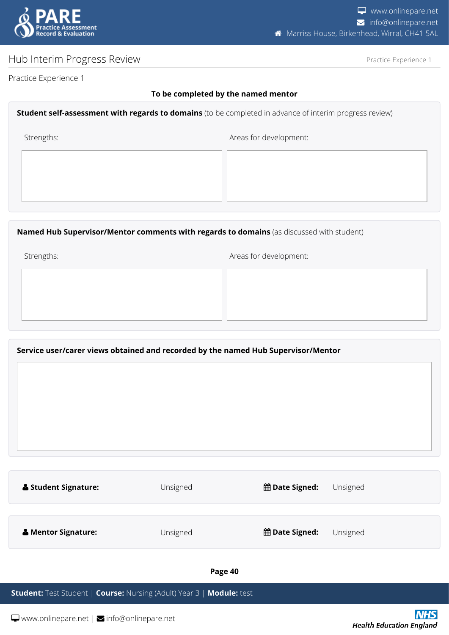

## <span id="page-39-0"></span>Hub Interim Progress Review

Practice Experience 1

Practice Experience 1

#### **To be completed by the named mentor**

#### **Student self-assessment with regards to domains** (to be completed in advance of interim progress review)

Strengths:  $\blacksquare$ 

**Named Hub Supervisor/Mentor comments with regards to domains** (as discussed with student)

Strengths:  $\blacksquare$ 

#### **Service user/carer views obtained and recorded by the named Hub Supervisor/Mentor**

| <b>Student Signature:</b>      | Unsigned | <b>曲 Date Signed:</b> | Unsigned |
|--------------------------------|----------|-----------------------|----------|
| <b>&amp; Mentor Signature:</b> | Unsigned | <b>曲 Date Signed:</b> | Unsigned |
|                                |          |                       |          |

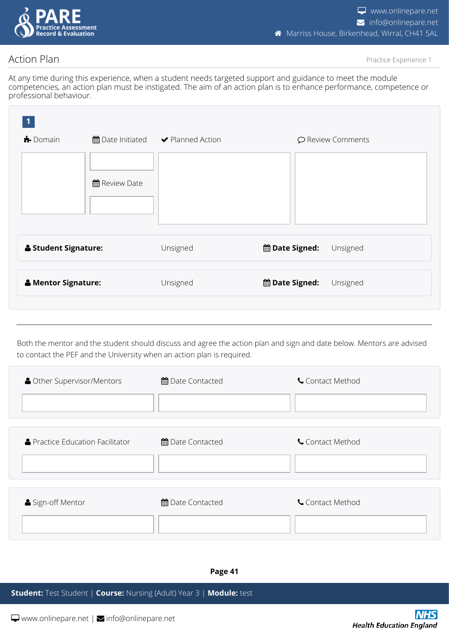

## <span id="page-40-0"></span>Action Plan

Practice Experience 1

At any time during this experience, when a student needs targeted support and guidance to meet the module competencies, an action plan must be instigated. The aim of an action plan is to enhance performance, competence or professional behaviour.

| $\bigoplus$ Domain              |                      | ■ Date Initiated → Planned Action | ○ Review Comments                   |
|---------------------------------|----------------------|-----------------------------------|-------------------------------------|
|                                 | <b>曲 Review Date</b> |                                   |                                     |
| <b>&amp; Student Signature:</b> |                      | Unsigned                          | the Date Signed:<br>Unsigned        |
| & Mentor Signature:             |                      | Unsigned                          | <b>the Date Signed:</b><br>Unsigned |
|                                 |                      |                                   |                                     |

Both the mentor and the student should discuss and agree the action plan and sign and date below. Mentors are advised to contact the PEF and the University when an action plan is required.

| <b>A</b> Other Supervisor/Mentors | 曲 Date Contacted | Contact Method |
|-----------------------------------|------------------|----------------|
|                                   |                  |                |
|                                   |                  |                |
| ▲ Practice Education Facilitator  | 曲 Date Contacted | Contact Method |
|                                   |                  |                |
|                                   |                  |                |
| Sign-off Mentor                   | 曲 Date Contacted | Contact Method |
|                                   |                  |                |
|                                   |                  |                |

**Page 41**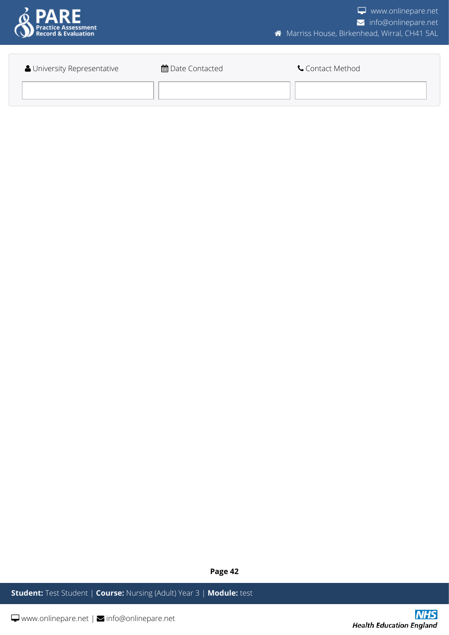

| University Representative | <b>角</b> Date Contacted | Contact Method |
|---------------------------|-------------------------|----------------|
|                           |                         |                |

**Page 42**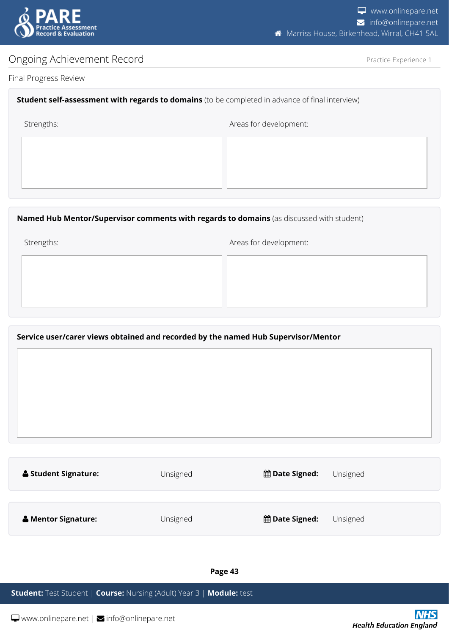

## <span id="page-42-0"></span>Ongoing Achievement Record

Practice Experience 1

#### Final Progress Review

#### **Student self-assessment with regards to domains** (to be completed in advance of final interview)

Strengths:  $\blacksquare$ 

#### **Named Hub Mentor/Supervisor comments with regards to domains** (as discussed with student)

Strengths:  $\blacksquare$ 

#### **Service user/carer views obtained and recorded by the named Hub Supervisor/Mentor**

| <b>&amp; Student Signature:</b> | Unsigned | <b>曲 Date Signed:</b> | Unsigned |
|---------------------------------|----------|-----------------------|----------|
|                                 |          |                       |          |
| <b>&amp; Mentor Signature:</b>  | Unsigned | <b>曲 Date Signed:</b> | Unsigned |

#### **Page 43**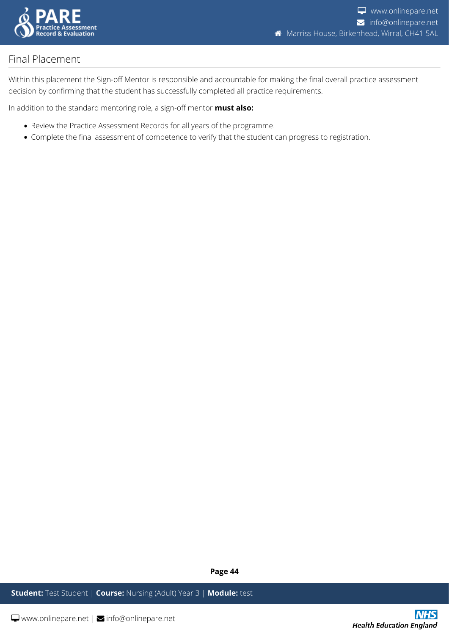

## <span id="page-43-0"></span>Final Placement

Within this placement the Sign-off Mentor is responsible and accountable for making the final overall practice assessment decision by confirming that the student has successfully completed all practice requirements.

In addition to the standard mentoring role, a sign-off mentor **must also:**

- Review the Practice Assessment Records for all years of the programme.
- Complete the final assessment of competence to verify that the student can progress to registration.

**Page 44**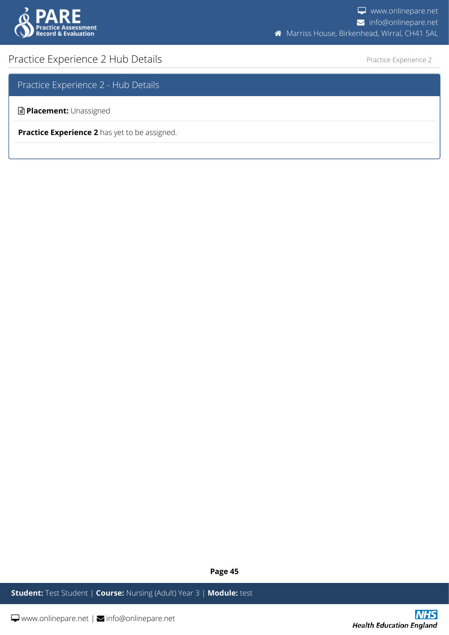

## <span id="page-44-0"></span>Practice Experience 2 Hub Details

Practice Experience 2

Practice Experience 2 - Hub Details

**Placement:** Unassigned

**Practice Experience 2** has yet to be assigned.

**Page 45**

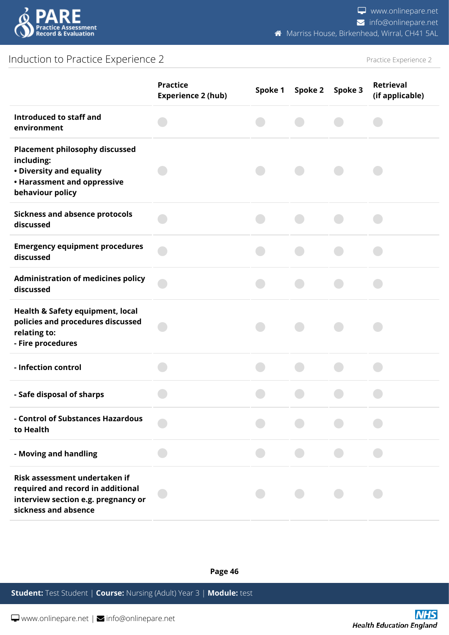

## <span id="page-45-0"></span>Induction to Practice Experience 2

Practice Experience 2

|                                                                                                                                    | <b>Practice</b><br><b>Experience 2 (hub)</b> | Spoke 1 | Spoke 2 | Spoke 3 | <b>Retrieval</b><br>(if applicable) |
|------------------------------------------------------------------------------------------------------------------------------------|----------------------------------------------|---------|---------|---------|-------------------------------------|
| Introduced to staff and<br>environment                                                                                             |                                              |         |         |         |                                     |
| <b>Placement philosophy discussed</b><br>including:<br>• Diversity and equality<br>• Harassment and oppressive<br>behaviour policy |                                              |         |         |         |                                     |
| <b>Sickness and absence protocols</b><br>discussed                                                                                 |                                              |         |         |         |                                     |
| <b>Emergency equipment procedures</b><br>discussed                                                                                 |                                              |         |         |         |                                     |
| <b>Administration of medicines policy</b><br>discussed                                                                             |                                              |         |         |         |                                     |
| Health & Safety equipment, local<br>policies and procedures discussed<br>relating to:<br>- Fire procedures                         |                                              |         |         |         |                                     |
| - Infection control                                                                                                                |                                              |         |         |         |                                     |
| - Safe disposal of sharps                                                                                                          |                                              |         |         |         |                                     |
| - Control of Substances Hazardous<br>to Health                                                                                     |                                              |         |         |         |                                     |
| - Moving and handling                                                                                                              |                                              |         |         |         |                                     |
| Risk assessment undertaken if<br>required and record in additional<br>interview section e.g. pregnancy or<br>sickness and absence  |                                              |         |         |         |                                     |

**Page 46**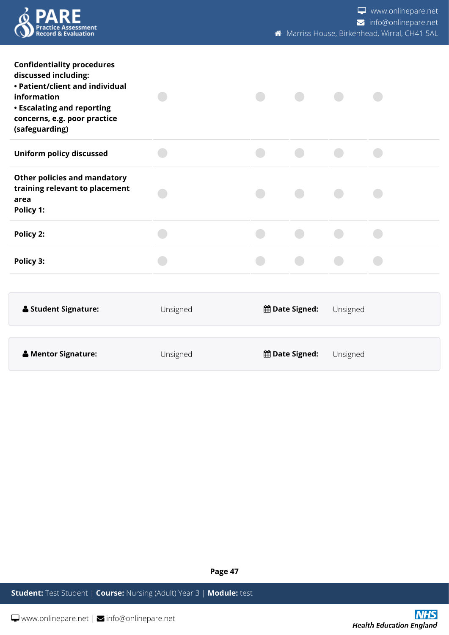

www.onlinepare.net info@onlinepare.net **Marriss House, Birkenhead, Wirral, CH41 5AL** 

| <b>Confidentiality procedures</b><br>discussed including:<br>• Patient/client and individual<br>information<br><b>• Escalating and reporting</b><br>concerns, e.g. poor practice<br>(safeguarding) |          |                       |          |  |
|----------------------------------------------------------------------------------------------------------------------------------------------------------------------------------------------------|----------|-----------------------|----------|--|
| Uniform policy discussed                                                                                                                                                                           |          |                       |          |  |
| <b>Other policies and mandatory</b><br>training relevant to placement<br>area<br>Policy 1:                                                                                                         |          |                       |          |  |
| Policy 2:                                                                                                                                                                                          |          |                       |          |  |
| Policy 3:                                                                                                                                                                                          |          |                       |          |  |
|                                                                                                                                                                                                    |          |                       |          |  |
| <b>&amp; Student Signature:</b>                                                                                                                                                                    | Unsigned | the Date Signed:      | Unsigned |  |
|                                                                                                                                                                                                    |          |                       |          |  |
| & Mentor Signature:                                                                                                                                                                                | Unsigned | <b>曲 Date Signed:</b> | Unsigned |  |

**Page 47**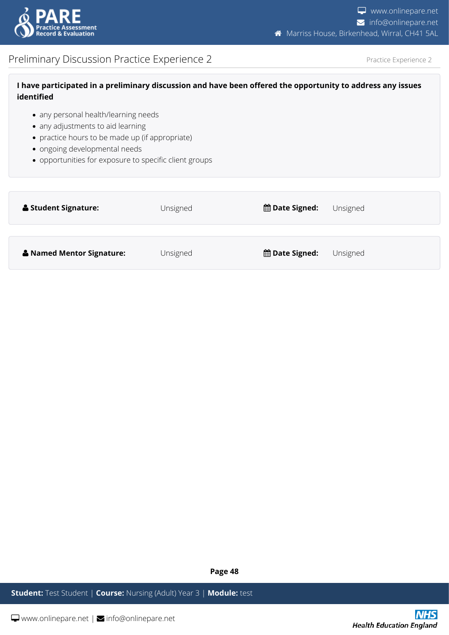

## <span id="page-47-0"></span>Preliminary Discussion Practice Experience 2

Practice Experience 2

| I have participated in a preliminary discussion and have been offered the opportunity to address any issues |
|-------------------------------------------------------------------------------------------------------------|
| identified                                                                                                  |

- any personal health/learning needs
- any adjustments to aid learning
- practice hours to be made up (if appropriate)
- ongoing developmental needs
- opportunities for exposure to specific client groups

| Student Signature:                   | Unsigned | <b>the Date Signed:</b> | Unsigned |
|--------------------------------------|----------|-------------------------|----------|
| <b>&amp; Named Mentor Signature:</b> | Unsigned | <b>the Date Signed:</b> | Unsigned |

**Page 48**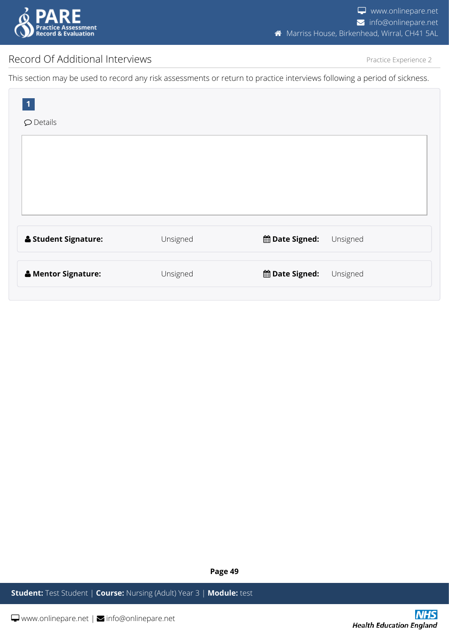

## <span id="page-48-0"></span>Record Of Additional Interviews

Practice Experience 2

This section may be used to record any risk assessments or return to practice interviews following a period of sickness.

| $\mathbf{1}$<br>$\mathcal D$ Details |          |                                     |
|--------------------------------------|----------|-------------------------------------|
|                                      |          |                                     |
|                                      |          |                                     |
|                                      |          |                                     |
| <b>&amp; Student Signature:</b>      | Unsigned | <b>the Date Signed:</b><br>Unsigned |
| & Mentor Signature:                  | Unsigned | <b>the Date Signed:</b><br>Unsigned |

**Page 49**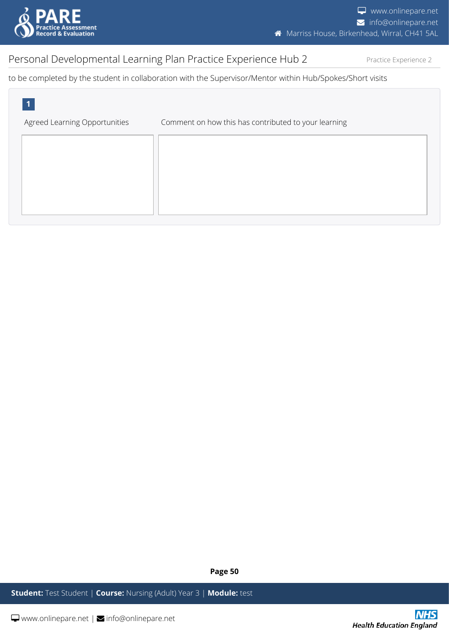

Practice Experience 2

## <span id="page-49-0"></span>Personal Developmental Learning Plan Practice Experience Hub 2

to be completed by the student in collaboration with the Supervisor/Mentor within Hub/Spokes/Short visits



**Page 50**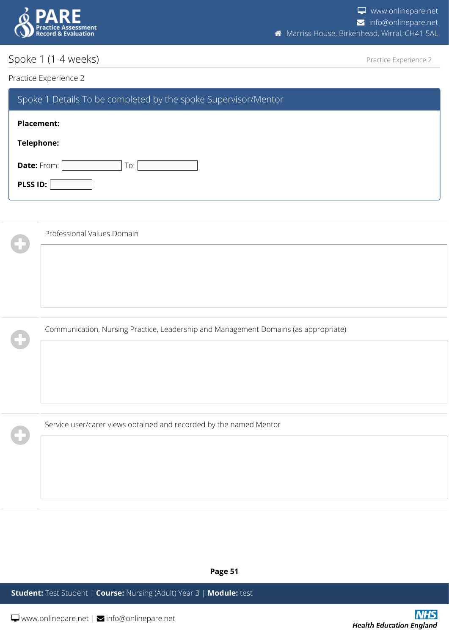

## <span id="page-50-0"></span>Spoke 1 (1-4 weeks)

Practice Experience 2

#### Practice Experience 2

 $\mathbf 0$ 

| Spoke 1 Details To be completed by the spoke Supervisor/Mentor |  |  |  |  |
|----------------------------------------------------------------|--|--|--|--|
| <b>Placement:</b>                                              |  |  |  |  |
| <b>Telephone:</b>                                              |  |  |  |  |
| <b>Date:</b> From:  <br>To:                                    |  |  |  |  |
| PLSS ID:                                                       |  |  |  |  |

| G            | Professional Values Domain                                                          |  |  |  |
|--------------|-------------------------------------------------------------------------------------|--|--|--|
|              |                                                                                     |  |  |  |
|              |                                                                                     |  |  |  |
|              |                                                                                     |  |  |  |
| $\mathbf{d}$ | Communication, Nursing Practice, Leadership and Management Domains (as appropriate) |  |  |  |
|              |                                                                                     |  |  |  |

Service user/carer views obtained and recorded by the named Mentor

**Page 51**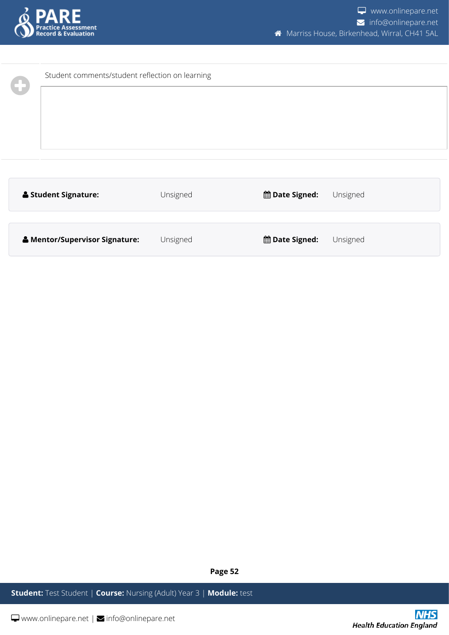

| Student comments/student reflection on learning |          |                                     |  |
|-------------------------------------------------|----------|-------------------------------------|--|
| <b>&amp; Student Signature:</b>                 | Unsigned | the Date Signed:<br>Unsigned        |  |
| & Mentor/Supervisor Signature:                  | Unsigned | <b>the Date Signed:</b><br>Unsigned |  |

**Page 52**

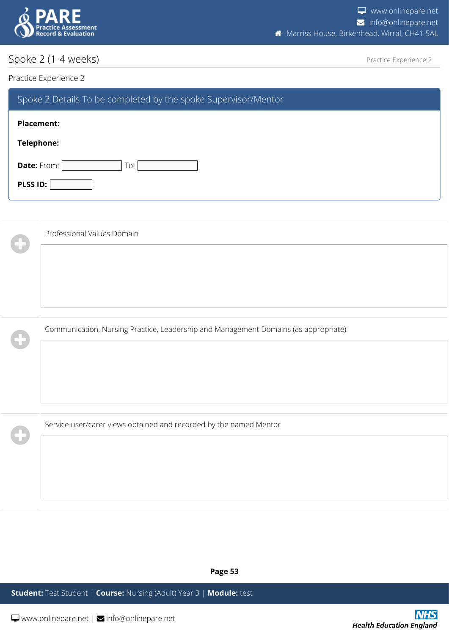

## <span id="page-52-0"></span>Spoke 2 (1-4 weeks)

Practice Experience 2

#### Practice Experience 2

 $\mathbf 0$ 

| Spoke 2 Details To be completed by the spoke Supervisor/Mentor |  |  |  |  |
|----------------------------------------------------------------|--|--|--|--|
| <b>Placement:</b>                                              |  |  |  |  |
| Telephone:                                                     |  |  |  |  |
| <b>Date:</b> From:  <br>To:                                    |  |  |  |  |
| PLSS ID:                                                       |  |  |  |  |

|                      | Professional Values Domain                                                          |  |  |  |
|----------------------|-------------------------------------------------------------------------------------|--|--|--|
| ť                    |                                                                                     |  |  |  |
|                      |                                                                                     |  |  |  |
|                      |                                                                                     |  |  |  |
|                      |                                                                                     |  |  |  |
| $\ddot{\phantom{1}}$ | Communication, Nursing Practice, Leadership and Management Domains (as appropriate) |  |  |  |
|                      |                                                                                     |  |  |  |

Service user/carer views obtained and recorded by the named Mentor

**Page 53**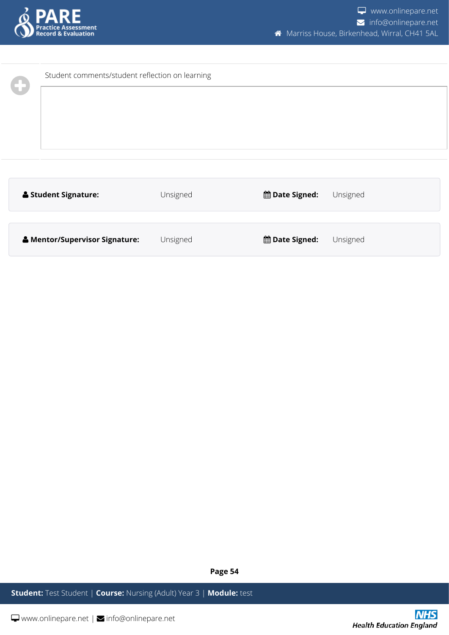

| Student comments/student reflection on learning |          |                  |          |
|-------------------------------------------------|----------|------------------|----------|
| <b>&amp; Student Signature:</b>                 | Unsigned | the Date Signed: | Unsigned |
| & Mentor/Supervisor Signature:                  | Unsigned | the Date Signed: | Unsigned |

**Page 54**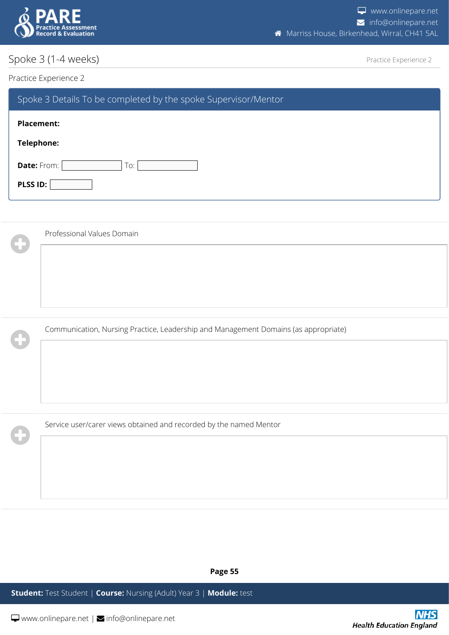

## <span id="page-54-0"></span>Spoke 3 (1-4 weeks)

Practice Experience 2

#### Practice Experience 2

W

 $\mathbf 0$ 

| Spoke 3 Details To be completed by the spoke Supervisor/Mentor |  |  |  |  |
|----------------------------------------------------------------|--|--|--|--|
| <b>Placement:</b>                                              |  |  |  |  |
| Telephone:                                                     |  |  |  |  |
| Date: From:<br>To:                                             |  |  |  |  |
| PLSS ID:                                                       |  |  |  |  |

|             | Professional Values Domain                                                          |  |  |  |
|-------------|-------------------------------------------------------------------------------------|--|--|--|
| $\biguplus$ |                                                                                     |  |  |  |
|             |                                                                                     |  |  |  |
|             |                                                                                     |  |  |  |
|             |                                                                                     |  |  |  |
|             | Communication, Nursing Practice, Leadership and Management Domains (as appropriate) |  |  |  |

Service user/carer views obtained and recorded by the named Mentor

**Page 55**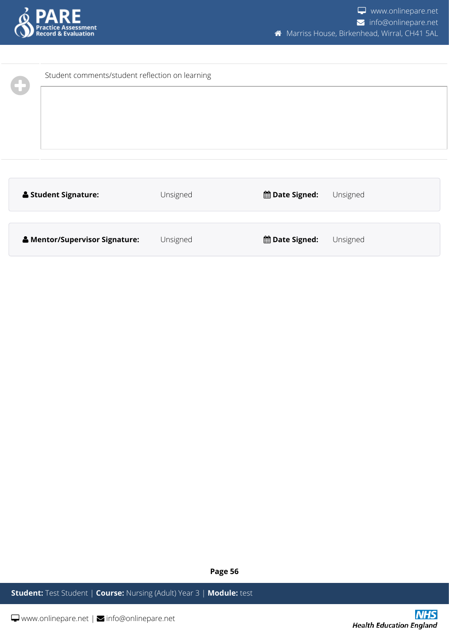

| Student comments/student reflection on learning |          |                              |  |
|-------------------------------------------------|----------|------------------------------|--|
| <b>&amp; Student Signature:</b>                 | Unsigned | the Date Signed:<br>Unsigned |  |
| & Mentor/Supervisor Signature:                  | Unsigned | the Date Signed:<br>Unsigned |  |

**Page 56**

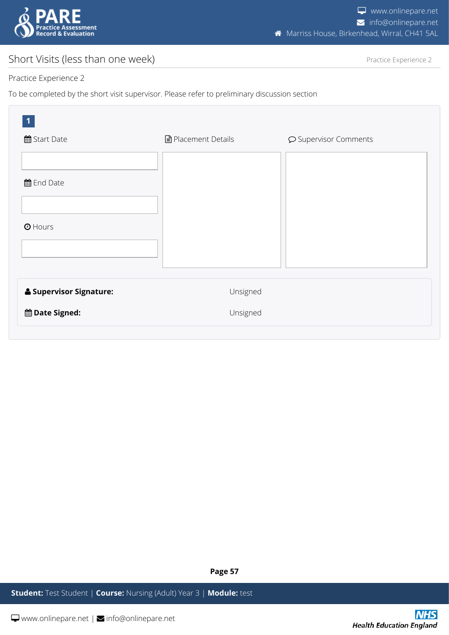

## <span id="page-56-0"></span>Short Visits (less than one week)

Practice Experience 2

#### Practice Experience 2

To be completed by the short visit supervisor. Please refer to preliminary discussion section

| $\vert$ 1<br>曲 Start Date          | ■ Placement Details | O Supervisor Comments |
|------------------------------------|---------------------|-----------------------|
| 曲 End Date                         |                     |                       |
| $①$ Hours                          |                     |                       |
| <b>&amp; Supervisor Signature:</b> | Unsigned            |                       |
| the Date Signed:                   | Unsigned            |                       |

**Page 57**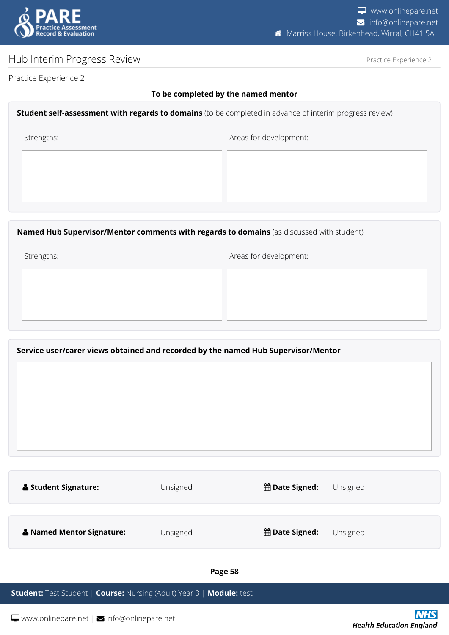

## <span id="page-57-0"></span>Hub Interim Progress Review

Practice Experience 2

Practice Experience 2

#### **To be completed by the named mentor**

#### **Student self-assessment with regards to domains** (to be completed in advance of interim progress review)

Strengths:  $\blacksquare$ 

**Named Hub Supervisor/Mentor comments with regards to domains** (as discussed with student)

Strengths:  $\blacksquare$ 

#### **Service user/carer views obtained and recorded by the named Hub Supervisor/Mentor**

| <b>Student Signature:</b> | Unsigned | <b>曲 Date Signed:</b> | Unsigned |
|---------------------------|----------|-----------------------|----------|
| & Named Mentor Signature: | Unsigned | <b>曲 Date Signed:</b> | Unsigned |
|                           |          |                       |          |

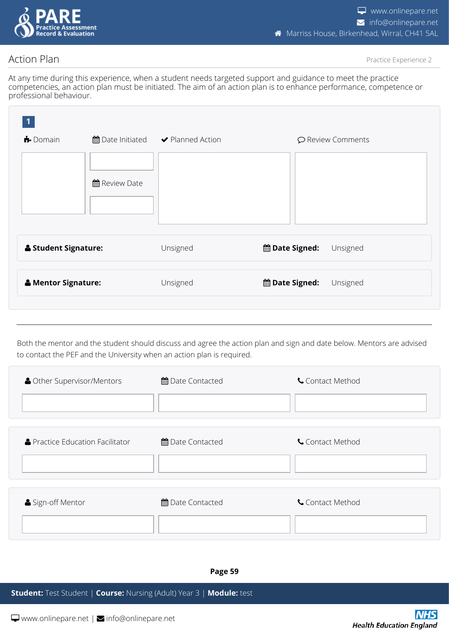

## <span id="page-58-0"></span>Action Plan

Practice Experience 2

At any time during this experience, when a student needs targeted support and guidance to meet the practice competencies, an action plan must be initiated. The aim of an action plan is to enhance performance, competence or professional behaviour.

| $\bigstar$ Domain               |                      | ■ Date Initiated → Planned Action | O Review Comments                   |
|---------------------------------|----------------------|-----------------------------------|-------------------------------------|
|                                 | <b>曲 Review Date</b> |                                   |                                     |
| <b>&amp; Student Signature:</b> |                      | Unsigned                          | the Date Signed:<br>Unsigned        |
| & Mentor Signature:             |                      | Unsigned                          | <b>the Date Signed:</b><br>Unsigned |
|                                 |                      |                                   |                                     |

Both the mentor and the student should discuss and agree the action plan and sign and date below. Mentors are advised to contact the PEF and the University when an action plan is required.

| <b>A</b> Other Supervisor/Mentors | 曲 Date Contacted | Contact Method |
|-----------------------------------|------------------|----------------|
| ▲ Practice Education Facilitator  | 曲 Date Contacted | Contact Method |
| Sign-off Mentor                   | 曲 Date Contacted | Contact Method |

**Page 59**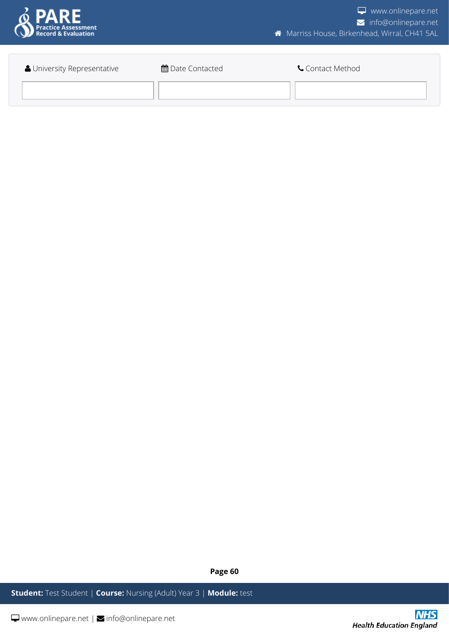

| University Representative | 曲 Date Contacted | Contact Method |
|---------------------------|------------------|----------------|
|                           |                  |                |

**Page 60**

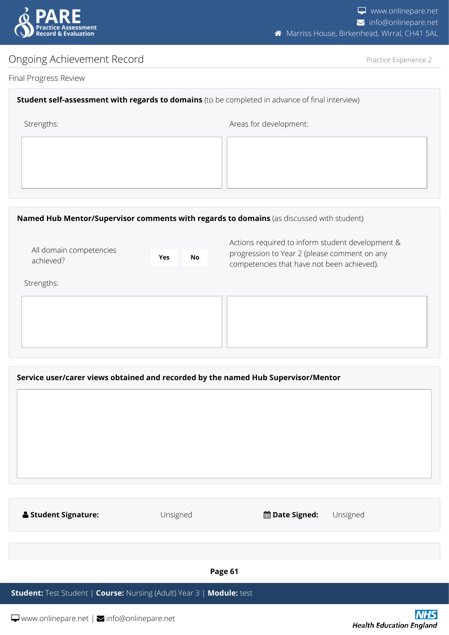

Actions required to inform student development & progression to Year 2 (please comment on any

## <span id="page-60-0"></span>Ongoing Achievement Record

All domain competencies

Practice Experience 2

#### Final Progress Review

# **Student self-assessment with regards to domains** (to be completed in advance of final interview) Strengths:  $\blacksquare$

#### **Named Hub Mentor/Supervisor comments with regards to domains** (as discussed with student)

| achieved?  | <b>Yes</b> | No | progression to rear z (piease comment on any<br>competencies that have not been achieved). |
|------------|------------|----|--------------------------------------------------------------------------------------------|
| Strengths: |            |    |                                                                                            |
|            |            |    |                                                                                            |
|            |            |    | Service user/carer views obtained and recorded by the named Hub Supervisor/Mentor          |
|            |            |    |                                                                                            |

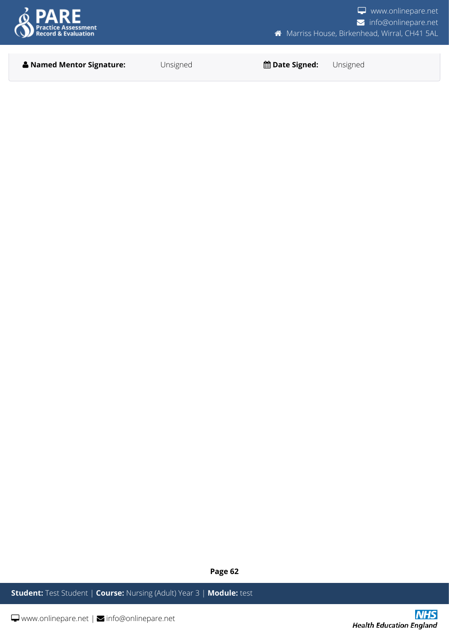

**Named Mentor Signature:** Unsigned **Date Signed:** Unsigned

**Page 62**

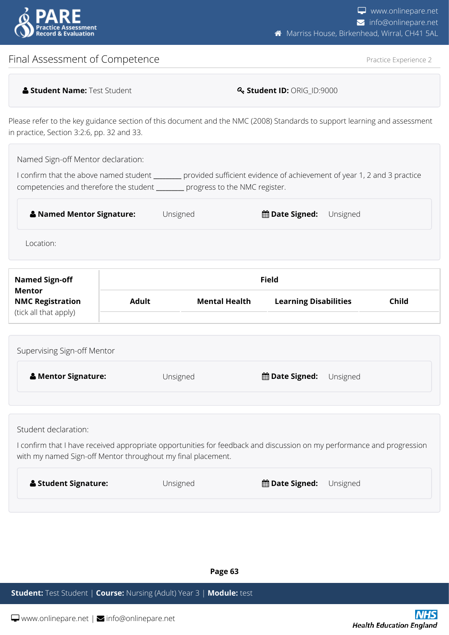

## <span id="page-62-0"></span>Final Assessment of Competence

Practice Experience 2

| <b>A Student Name: Test Student</b> |  |
|-------------------------------------|--|
|-------------------------------------|--|

 $\textbf{Q}_\text{t}$  Student ID: ORIG\_ID:9000

Please refer to the key guidance section of this document and the NMC (2008) Standards to support learning and assessment in practice, Section 3:2:6, pp. 32 and 33.

Named Sign-off Mentor declaration:

I confirm that the above named student **\_\_\_\_\_\_\_\_\_** provided sufficient evidence of achievement of year 1, 2 and 3 practice competencies and therefore the student **\_\_\_\_\_\_\_\_\_** progress to the NMC register.

| <b>&amp; Named Mentor Signature:</b> | Unsigned | <b>的Date Signed:</b> Unsigned |  |
|--------------------------------------|----------|-------------------------------|--|
|                                      |          |                               |  |

Location:

| <b>Named Sign-off</b><br>Mentor                  |              |                      | <b>Field</b>                 |       |
|--------------------------------------------------|--------------|----------------------|------------------------------|-------|
| <b>NMC Registration</b><br>(tick all that apply) | <b>Adult</b> | <b>Mental Health</b> | <b>Learning Disabilities</b> | Child |

| Supervising Sign-off Mentor    |          |                               |
|--------------------------------|----------|-------------------------------|
| <b>&amp; Mentor Signature:</b> | Unsigned | <b>的Date Signed:</b> Unsigned |
|                                |          |                               |

Student declaration:

I confirm that I have received appropriate opportunities for feedback and discussion on my performance and progression with my named Sign-off Mentor throughout my final placement.

| <b>&amp; Student Signature:</b> | Unsigned | <b>的 Date Signed:</b> Unsigned |
|---------------------------------|----------|--------------------------------|
|                                 |          |                                |

**Page 63**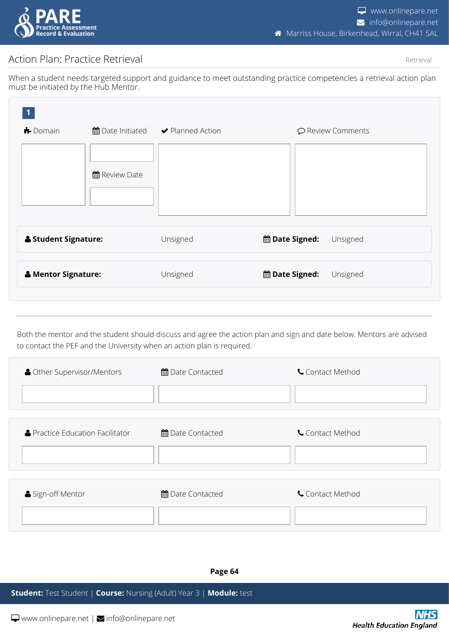

## <span id="page-63-0"></span>Action Plan: Practice Retrieval

Retrieval

When a student needs targeted support and guidance to meet outstanding practice competencies a retrieval action plan must be initiated by the Hub Mentor.

| $\bigoplus$ Domain              |                      | ■ Date Initiated → Planned Action |                  | ○ Review Comments |
|---------------------------------|----------------------|-----------------------------------|------------------|-------------------|
|                                 | <b>曲 Review Date</b> |                                   |                  |                   |
| <b>&amp; Student Signature:</b> |                      | Unsigned                          | the Date Signed: | Unsigned          |
| & Mentor Signature:             |                      | Unsigned                          | the Date Signed: | Unsigned          |
|                                 |                      |                                   |                  |                   |

Both the mentor and the student should discuss and agree the action plan and sign and date below. Mentors are advised to contact the PEF and the University when an action plan is required.

| <b>A</b> Other Supervisor/Mentors | 曲 Date Contacted        | Contact Method |
|-----------------------------------|-------------------------|----------------|
|                                   |                         |                |
| ▲ Practice Education Facilitator  | <b>角</b> Date Contacted | Contact Method |
| Sign-off Mentor                   | 曲 Date Contacted        | Contact Method |

**Page 64**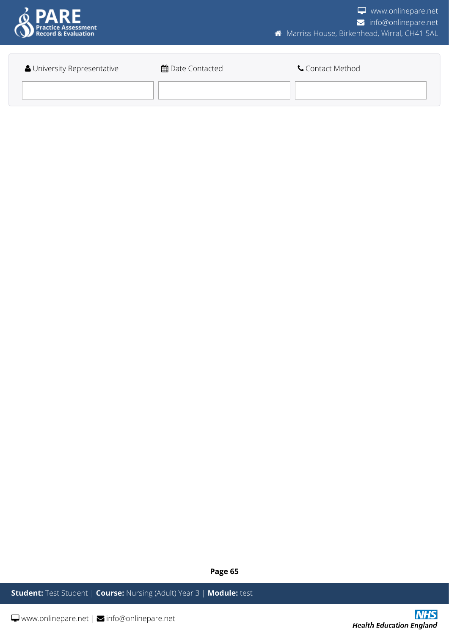

| University Representative | 曲 Date Contacted | Contact Method |
|---------------------------|------------------|----------------|
|                           |                  |                |
|                           |                  |                |

**Page 65**

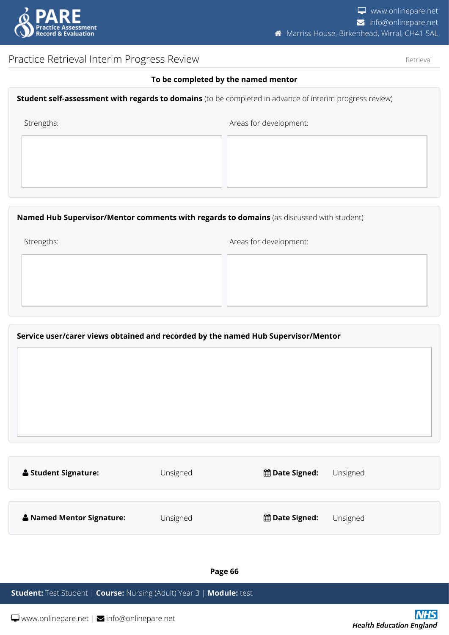

Retrieval

## <span id="page-65-0"></span>Practice Retrieval Interim Progress Review

**To be completed by the named mentor**

|            | <b>Student self-assessment with regards to domains</b> (to be completed in advance of interim progress review) |  |  |  |
|------------|----------------------------------------------------------------------------------------------------------------|--|--|--|
| Strengths: | Areas for development:                                                                                         |  |  |  |
|            |                                                                                                                |  |  |  |

#### **Named Hub Supervisor/Mentor comments with regards to domains** (as discussed with student)

Strengths:  $\blacksquare$ 

**Service user/carer views obtained and recorded by the named Hub Supervisor/Mentor**

| <b>&amp; Student Signature:</b> | Unsigned | <b>曲 Date Signed:</b> | Unsigned |
|---------------------------------|----------|-----------------------|----------|
|                                 |          |                       |          |
| & Named Mentor Signature:       | Unsigned | <b>曲 Date Signed:</b> | Unsigned |

**Page 66**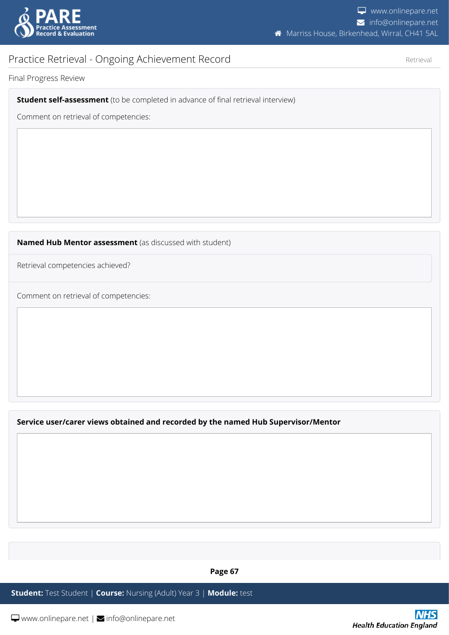

Retrieval

## <span id="page-66-0"></span>Practice Retrieval - Ongoing Achievement Record

Final Progress Review

**Student self-assessment** (to be completed in advance of final retrieval interview)

Comment on retrieval of competencies:

**Named Hub Mentor assessment** (as discussed with student)

Retrieval competencies achieved?

Comment on retrieval of competencies:

**Service user/carer views obtained and recorded by the named Hub Supervisor/Mentor**

**Page 67**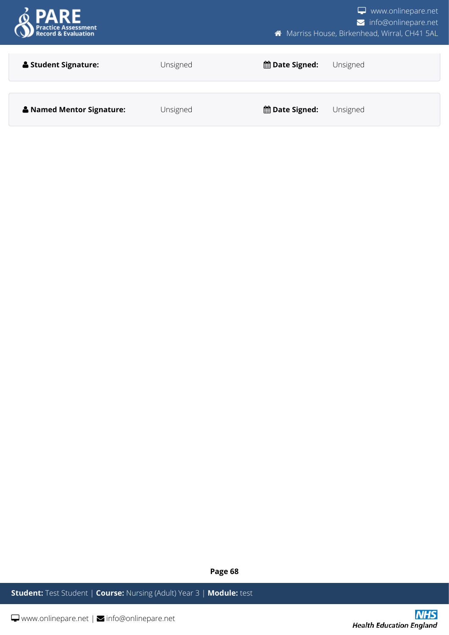

**Page 68**